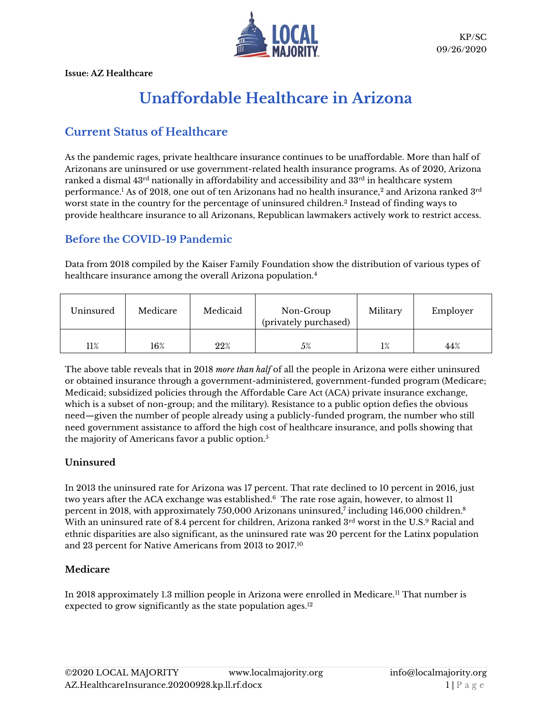

# **Unaffordable Healthcare in Arizona**

# **Current Status of Healthcare**

As the pandemic rages, private healthcare insurance continues to be unaffordable. More than half of Arizonans are uninsured or use government-related health insurance programs. As of 2020, Arizona ranked a dismal  $43^{rd}$  nationally in affordability and accessibility and  $33^{rd}$  in healthcare system performance. $^{\rm l}$  As of 2018, one out of ten Arizonans had no health insurance, $^{\rm 2}$  and Arizona ranked  $3^{\rm rd}$ worst state in the country for the percentage of uninsured children.<sup>3</sup> Instead of finding ways to provide healthcare insurance to all Arizonans, Republican lawmakers actively work to restrict access.

# **Before the COVID-19 Pandemic**

Data from 2018 compiled by the Kaiser Family Foundation show the distribution of various types of healthcare insurance among the overall Arizona population.<sup>4</sup>

| Uninsured | Medicare | Medicaid | Non-Group<br>(privately purchased) | Military | Employer |
|-----------|----------|----------|------------------------------------|----------|----------|
| 11%       | 16%      | 22%      | 5%                                 | 1%       | 44%      |

The above table reveals that in 2018 *more than half* of all the people in Arizona were either uninsured or obtained insurance through a government-administered, government-funded program (Medicare; Medicaid; subsidized policies through the Affordable Care Act (ACA) private insurance exchange, which is a subset of non-group; and the military). Resistance to a public option defies the obvious need—given the number of people already using a publicly-funded program, the number who still need government assistance to afford the high cost of healthcare insurance, and polls showing that the majority of Americans favor a public option.<sup>5</sup>

# **Uninsured**

In 2013 the uninsured rate for Arizona was 17 percent. That rate declined to 10 percent in 2016, just two years after the ACA exchange was established. $^6\,$  The rate rose again, however, to almost 11  $\,$ percent in 2018, with approximately 750,000 Arizonans uninsured,<sup>7</sup> including 146,000 children. 8 With an uninsured rate of 8.4 percent for children, Arizona ranked 3rd worst in the U.S.<sup>9</sup> Racial and ethnic disparities are also significant, as the uninsured rate was 20 percent for the Latinx population and 23 percent for Native Americans from 2013 to 2017.<sup>10</sup>

### **Medicare**

In 2018 approximately 1.3 million people in Arizona were enrolled in Medicare.<sup>11</sup> That number is expected to grow significantly as the state population ages.<sup>12</sup>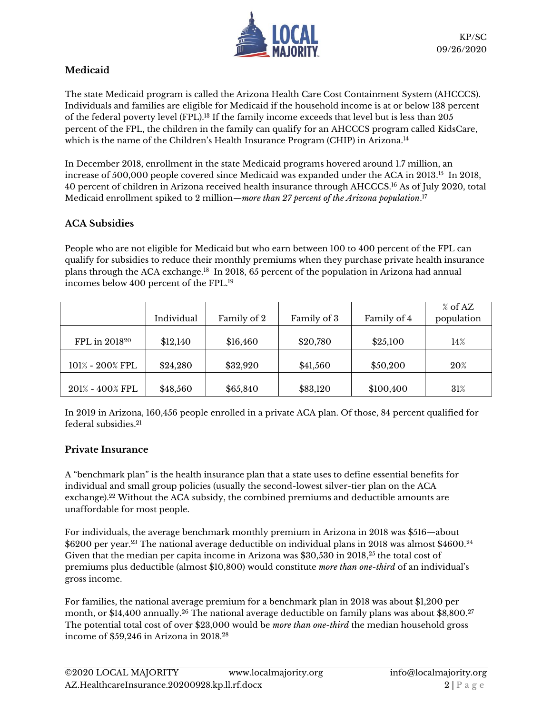

# **Medicaid**

The state Medicaid program is called the Arizona Health Care Cost Containment System (AHCCCS). Individuals and families are eligible for Medicaid if the household income is at or below 138 percent of the federal poverty level (FPL).<sup>13</sup> If the family income exceeds that level but is less than 205 percent of the FPL, the children in the family can qualify for an AHCCCS program called KidsCare, which is the name of the Children's Health Insurance Program (CHIP) in Arizona.<sup>14</sup>

In December 2018, enrollment in the state Medicaid programs hovered around 1.7 million, an increase of 500,000 people covered since Medicaid was expanded under the ACA in 2013. $^{15}$  In 2018, 40 percent of children in Arizona received health insurance through AHCCCS. <sup>16</sup> As of July 2020, total Medicaid enrollment spiked to 2 million—*more than 27 percent of the Arizona population*. 17

# **ACA Subsidies**

People who are not eligible for Medicaid but who earn between 100 to 400 percent of the FPL can qualify for subsidies to reduce their monthly premiums when they purchase private health insurance plans through the ACA exchange.<sup>18</sup> In 2018, 65 percent of the population in Arizona had annual incomes below 400 percent of the FPL.<sup>19</sup>

|                           | Individual | Family of 2 | Family of 3 | Family of 4 | $%$ of AZ<br>population |
|---------------------------|------------|-------------|-------------|-------------|-------------------------|
| FPL in 2018 <sup>20</sup> | \$12,140   | \$16,460    | \$20,780    | \$25,100    | 14%                     |
| $101\% - 200\%$ FPL       | \$24,280   | \$32,920    | \$41,560    | \$50,200    | $20\%$                  |
| 201% - 400% FPL           | \$48,560   | \$65,840    | \$83,120    | \$100,400   | 31%                     |

In 2019 in Arizona, 160,456 people enrolled in a private ACA plan. Of those, 84 percent qualified for federal subsidies.<sup>21</sup>

# **Private Insurance**

A "benchmark plan" is the health insurance plan that a state uses to define essential benefits for individual and small group policies (usually the second-lowest silver-tier plan on the ACA exchange).<sup>22</sup> Without the ACA subsidy, the combined premiums and deductible amounts are unaffordable for most people.

For individuals, the average benchmark monthly premium in Arizona in 2018 was \$516—about  $\$6200$  per year. $^{23}$  The national average deductible on individual plans in  $2018$  was almost  $\$4600.^{24}$ Given that the median per capita income in Arizona was \$30,530 in 2018, <sup>25</sup> the total cost of premiums plus deductible (almost \$10,800) would constitute *more than one-third* of an individual's gross income.

For families, the national average premium for a benchmark plan in 2018 was about \$1,200 per month, or \$14,400 annually.<sup>26</sup> The national average deductible on family plans was about \$8,800.<sup>27</sup> The potential total cost of over \$23,000 would be *more than one-third* the median household gross income of \$59,246 in Arizona in 2018. 28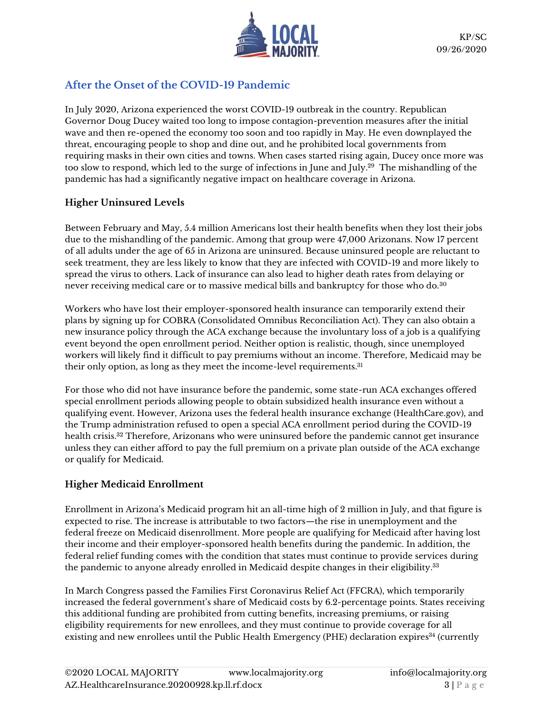

# **After the Onset of the COVID-19 Pandemic**

In July 2020, Arizona experienced the worst COVID-19 outbreak in the country. Republican Governor Doug Ducey waited too long to impose contagion-prevention measures after the initial wave and then re-opened the economy too soon and too rapidly in May. He even downplayed the threat, encouraging people to shop and dine out, and he prohibited local governments from requiring masks in their own cities and towns. When cases started rising again, Ducey once more was too slow to respond, which led to the surge of infections in June and July.<sup>29</sup> The mishandling of the pandemic has had a significantly negative impact on healthcare coverage in Arizona.

# **Higher Uninsured Levels**

Between February and May, 5.4 million Americans lost their health benefits when they lost their jobs due to the mishandling of the pandemic. Among that group were 47,000 Arizonans. Now 17 percent of all adults under the age of 65 in Arizona are uninsured. Because uninsured people are reluctant to seek treatment, they are less likely to know that they are infected with COVID-19 and more likely to spread the virus to others. Lack of insurance can also lead to higher death rates from delaying or never receiving medical care or to massive medical bills and bankruptcy for those who do.<sup>30</sup>

Workers who have lost their employer-sponsored health insurance can temporarily extend their plans by signing up for COBRA (Consolidated Omnibus Reconciliation Act). They can also obtain a new insurance policy through the ACA exchange because the involuntary loss of a job is a qualifying event beyond the open enrollment period. Neither option is realistic, though, since unemployed workers will likely find it difficult to pay premiums without an income. Therefore, Medicaid may be their only option, as long as they meet the income-level requirements.<sup>31</sup>

For those who did not have insurance before the pandemic, some state-run ACA exchanges offered special enrollment periods allowing people to obtain subsidized health insurance even without a qualifying event. However, Arizona uses the federal health insurance exchange (HealthCare.gov), and the Trump administration refused to open a special ACA enrollment period during the COVID-19 health crisis.<sup>32</sup> Therefore, Arizonans who were uninsured before the pandemic cannot get insurance unless they can either afford to pay the full premium on a private plan outside of the ACA exchange or qualify for Medicaid.

# **Higher Medicaid Enrollment**

Enrollment in Arizona's Medicaid program hit an all-time high of 2 million in July, and that figure is expected to rise. The increase is attributable to two factors—the rise in unemployment and the federal freeze on Medicaid disenrollment. More people are qualifying for Medicaid after having lost their income and their employer-sponsored health benefits during the pandemic. In addition, the federal relief funding comes with the condition that states must continue to provide services during the pandemic to anyone already enrolled in Medicaid despite changes in their eligibility. $^{33}$ 

In March Congress passed the Families First Coronavirus Relief Act (FFCRA), which temporarily increased the federal government's share of Medicaid costs by 6.2-percentage points. States receiving this additional funding are prohibited from cutting benefits, increasing premiums, or raising eligibility requirements for new enrollees, and they must continue to provide coverage for all existing and new enrollees until the Public Health Emergency (PHE) declaration expires<sup>34</sup> (currently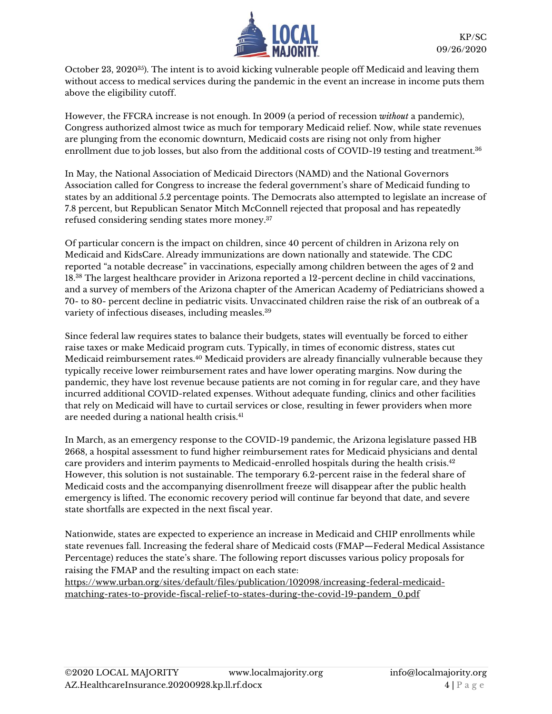

October 23, 2020<sup>35</sup>). The intent is to avoid kicking vulnerable people off Medicaid and leaving them without access to medical services during the pandemic in the event an increase in income puts them above the eligibility cutoff.

However, the FFCRA increase is not enough. In 2009 (a period of recession *without* a pandemic), Congress authorized almost twice as much for temporary Medicaid relief. Now, while state revenues are plunging from the economic downturn, Medicaid costs are rising not only from higher enrollment due to job losses, but also from the additional costs of COVID-19 testing and treatment.<sup>36</sup>

In May, the National Association of Medicaid Directors (NAMD) and the National Governors Association called for Congress to increase the federal government's share of Medicaid funding to states by an additional 5.2 percentage points. The Democrats also attempted to legislate an increase of 7.8 percent, but Republican Senator Mitch McConnell rejected that proposal and has repeatedly refused considering sending states more money.<sup>37</sup>

Of particular concern is the impact on children, since 40 percent of children in Arizona rely on Medicaid and KidsCare. Already immunizations are down nationally and statewide. The CDC reported "a notable decrease" in vaccinations, especially among children between the ages of 2 and 18.<sup>38</sup> The largest healthcare provider in Arizona reported a 12-percent decline in child vaccinations, and a survey of members of the Arizona chapter of the American Academy of Pediatricians showed a 70- to 80- percent decline in pediatric visits. Unvaccinated children raise the risk of an outbreak of a variety of infectious diseases, including measles.<sup>39</sup>

Since federal law requires states to balance their budgets, states will eventually be forced to either raise taxes or make Medicaid program cuts. Typically, in times of economic distress, states cut Medicaid reimbursement rates.<sup>40</sup> Medicaid providers are already financially vulnerable because they typically receive lower reimbursement rates and have lower operating margins. Now during the pandemic, they have lost revenue because patients are not coming in for regular care, and they have incurred additional COVID-related expenses. Without adequate funding, clinics and other facilities that rely on Medicaid will have to curtail services or close, resulting in fewer providers when more are needed during a national health crisis.<sup>41</sup>

In March, as an emergency response to the COVID-19 pandemic, the Arizona legislature passed HB 2668, a hospital assessment to fund higher reimbursement rates for Medicaid physicians and dental care providers and interim payments to Medicaid-enrolled hospitals during the health crisis. $^{42}$ However, this solution is not sustainable. The temporary 6.2-percent raise in the federal share of Medicaid costs and the accompanying disenrollment freeze will disappear after the public health emergency is lifted. The economic recovery period will continue far beyond that date, and severe state shortfalls are expected in the next fiscal year.

Nationwide, states are expected to experience an increase in Medicaid and CHIP enrollments while state revenues fall. Increasing the federal share of Medicaid costs (FMAP—Federal Medical Assistance Percentage) reduces the state's share. The following report discusses various policy proposals for raising the FMAP and the resulting impact on each state:

[https://www.urban.org/sites/default/files/publication/102098/increasing-federal-medicaid](https://www.urban.org/sites/default/files/publication/102098/increasing-federal-medicaid-matching-rates-to-provide-fiscal-relief-to-states-during-the-covid-19-pandem_0.pdf)[matching-rates-to-provide-fiscal-relief-to-states-during-the-covid-19-pandem\\_0.pdf](https://www.urban.org/sites/default/files/publication/102098/increasing-federal-medicaid-matching-rates-to-provide-fiscal-relief-to-states-during-the-covid-19-pandem_0.pdf)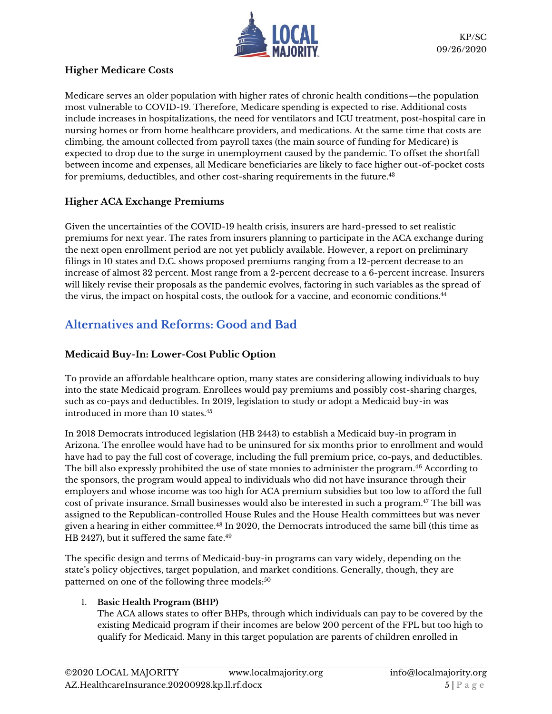

# **Higher Medicare Costs**

Medicare serves an older population with higher rates of chronic health conditions—the population most vulnerable to COVID-19. Therefore, Medicare spending is expected to rise. Additional costs include increases in hospitalizations, the need for ventilators and ICU treatment, post-hospital care in nursing homes or from home healthcare providers, and medications. At the same time that costs are climbing, the amount collected from payroll taxes (the main source of funding for Medicare) is expected to drop due to the surge in unemployment caused by the pandemic. To offset the shortfall between income and expenses, all Medicare beneficiaries are likely to face higher out-of-pocket costs for premiums, deductibles, and other cost-sharing requirements in the future. $^{43}$ 

# **Higher ACA Exchange Premiums**

Given the uncertainties of the COVID-19 health crisis, insurers are hard-pressed to set realistic premiums for next year. The rates from insurers planning to participate in the ACA exchange during the next open enrollment period are not yet publicly available. However, a report on preliminary filings in 10 states and D.C. shows proposed premiums ranging from a 12-percent decrease to an increase of almost 32 percent. Most range from a 2-percent decrease to a 6-percent increase. Insurers will likely revise their proposals as the pandemic evolves, factoring in such variables as the spread of the virus, the impact on hospital costs, the outlook for a vaccine, and economic conditions. 44

# **Alternatives and Reforms: Good and Bad**

# **Medicaid Buy-In: Lower-Cost Public Option**

To provide an affordable healthcare option, many states are considering allowing individuals to buy into the state Medicaid program. Enrollees would pay premiums and possibly cost-sharing charges, such as co-pays and deductibles. In 2019, legislation to study or adopt a Medicaid buy-in was introduced in more than 10 states.<sup>45</sup>

In 2018 Democrats introduced legislation (HB 2443) to establish a Medicaid buy-in program in Arizona. The enrollee would have had to be uninsured for six months prior to enrollment and would have had to pay the full cost of coverage, including the full premium price, co-pays, and deductibles. The bill also expressly prohibited the use of state monies to administer the program.<sup>46</sup> According to the sponsors, the program would appeal to individuals who did not have insurance through their employers and whose income was too high for ACA premium subsidies but too low to afford the full cost of private insurance. Small businesses would also be interested in such a program. <sup>47</sup> The bill was assigned to the Republican-controlled House Rules and the House Health committees but was never given a hearing in either committee.<sup>48</sup> In 2020, the Democrats introduced the same bill (this time as HB 2427), but it suffered the same fate.<sup>49</sup>

The specific design and terms of Medicaid-buy-in programs can vary widely, depending on the state's policy objectives, target population, and market conditions. Generally, though, they are patterned on one of the following three models:<sup>50</sup>

# 1. **Basic Health Program (BHP)**

The ACA allows states to offer BHPs, through which individuals can pay to be covered by the existing Medicaid program if their incomes are below 200 percent of the FPL but too high to qualify for Medicaid. Many in this target population are parents of children enrolled in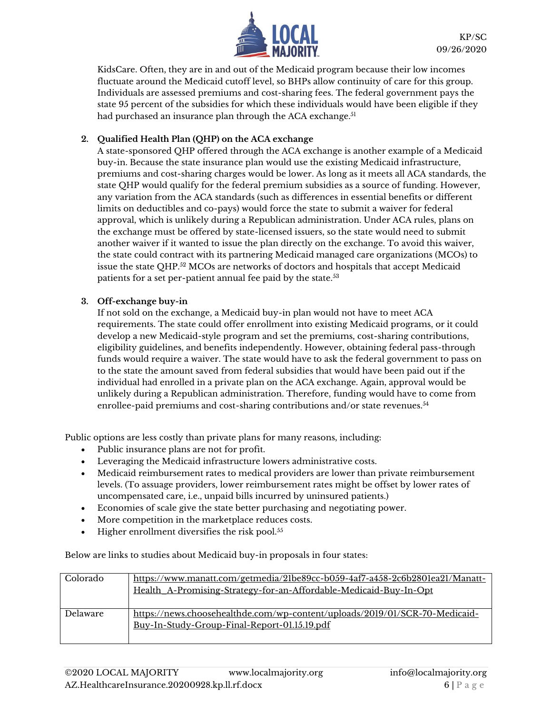

KidsCare. Often, they are in and out of the Medicaid program because their low incomes fluctuate around the Medicaid cutoff level, so BHPs allow continuity of care for this group. Individuals are assessed premiums and cost-sharing fees. The federal government pays the state 95 percent of the subsidies for which these individuals would have been eligible if they had purchased an insurance plan through the ACA exchange.<sup>51</sup>

### **2. Qualified Health Plan (QHP) on the ACA exchange**

A state-sponsored QHP offered through the ACA exchange is another example of a Medicaid buy-in. Because the state insurance plan would use the existing Medicaid infrastructure, premiums and cost-sharing charges would be lower. As long as it meets all ACA standards, the state QHP would qualify for the federal premium subsidies as a source of funding. However, any variation from the ACA standards (such as differences in essential benefits or different limits on deductibles and co-pays) would force the state to submit a waiver for federal approval, which is unlikely during a Republican administration. Under ACA rules, plans on the exchange must be offered by state-licensed issuers, so the state would need to submit another waiver if it wanted to issue the plan directly on the exchange. To avoid this waiver, the state could contract with its partnering Medicaid managed care organizations (MCOs) to issue the state QHP.<sup>52</sup> MCOs are networks of doctors and hospitals that accept Medicaid patients for a set per-patient annual fee paid by the state.<sup>53</sup>

### **3. Off-exchange buy-in**

If not sold on the exchange, a Medicaid buy-in plan would not have to meet ACA requirements. The state could offer enrollment into existing Medicaid programs, or it could develop a new Medicaid-style program and set the premiums, cost-sharing contributions, eligibility guidelines, and benefits independently. However, obtaining federal pass-through funds would require a waiver. The state would have to ask the federal government to pass on to the state the amount saved from federal subsidies that would have been paid out if the individual had enrolled in a private plan on the ACA exchange. Again, approval would be unlikely during a Republican administration. Therefore, funding would have to come from enrollee-paid premiums and cost-sharing contributions and/or state revenues.<sup>54</sup>

Public options are less costly than private plans for many reasons, including:

- Public insurance plans are not for profit.
- Leveraging the Medicaid infrastructure lowers administrative costs.
- Medicaid reimbursement rates to medical providers are lower than private reimbursement levels. (To assuage providers, lower reimbursement rates might be offset by lower rates of uncompensated care, i.e., unpaid bills incurred by uninsured patients.)
- Economies of scale give the state better purchasing and negotiating power.
- More competition in the marketplace reduces costs.
- $\bullet$  Higher enrollment diversifies the risk pool.<sup>55</sup>

Below are links to studies about Medicaid buy-in proposals in four states:

| Colorado        | https://www.manatt.com/getmedia/21be89cc-b059-4af7-a458-2c6b2801ea21/Manatt-<br>Health_A-Promising-Strategy-for-an-Affordable-Medicaid-Buy-In-Opt |
|-----------------|---------------------------------------------------------------------------------------------------------------------------------------------------|
| <b>Delaware</b> | https://news.choosehealthde.com/wp-content/uploads/2019/01/SCR-70-Medicaid-<br>Buy-In-Study-Group-Final-Report-01.15.19.pdf                       |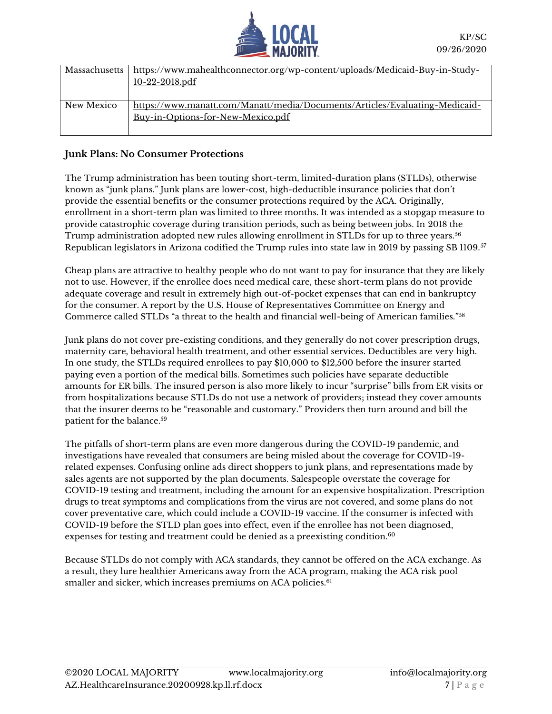

| Massachusetts | https://www.mahealthconnector.org/wp-content/uploads/Medicaid-Buy-in-Study-<br>10-22-2018.pdf                    |
|---------------|------------------------------------------------------------------------------------------------------------------|
| New Mexico    | https://www.manatt.com/Manatt/media/Documents/Articles/Evaluating-Medicaid-<br>Buy-in-Options-for-New-Mexico.pdf |

### **Junk Plans: No Consumer Protections**

The Trump administration has been touting short-term, limited-duration plans (STLDs), otherwise known as "junk plans." Junk plans are lower-cost, high-deductible insurance policies that don't provide the essential benefits or the consumer protections required by the ACA. Originally, enrollment in a short-term plan was limited to three months. It was intended as a stopgap measure to provide catastrophic coverage during transition periods, such as being between jobs. In 2018 the Trump administration adopted new rules allowing enrollment in STLDs for up to three years.<sup>56</sup> Republican legislators in Arizona codified the Trump rules into state law in 2019 by passing SB 1109.<sup>57</sup>

Cheap plans are attractive to healthy people who do not want to pay for insurance that they are likely not to use. However, if the enrollee does need medical care, these short-term plans do not provide adequate coverage and result in extremely high out-of-pocket expenses that can end in bankruptcy for the consumer. A report by the U.S. House of Representatives Committee on Energy and Commerce called STLDs "a threat to the health and financial well-being of American families."<sup>58</sup>

Junk plans do not cover pre-existing conditions, and they generally do not cover prescription drugs, maternity care, behavioral health treatment, and other essential services. Deductibles are very high. In one study, the STLDs required enrollees to pay \$10,000 to \$12,500 before the insurer started paying even a portion of the medical bills. Sometimes such policies have separate deductible amounts for ER bills. The insured person is also more likely to incur "surprise" bills from ER visits or from hospitalizations because STLDs do not use a network of providers; instead they cover amounts that the insurer deems to be "reasonable and customary." Providers then turn around and bill the patient for the balance.<sup>59</sup>

The pitfalls of short-term plans are even more dangerous during the COVID-19 pandemic, and investigations have revealed that consumers are being misled about the coverage for COVID-19 related expenses. Confusing online ads direct shoppers to junk plans, and representations made by sales agents are not supported by the plan documents. Salespeople overstate the coverage for COVID-19 testing and treatment, including the amount for an expensive hospitalization. Prescription drugs to treat symptoms and complications from the virus are not covered, and some plans do not cover preventative care, which could include a COVID-19 vaccine. If the consumer is infected with COVID-19 before the STLD plan goes into effect, even if the enrollee has not been diagnosed, expenses for testing and treatment could be denied as a preexisting condition.<sup>60</sup>

Because STLDs do not comply with ACA standards, they cannot be offered on the ACA exchange. As a result, they lure healthier Americans away from the ACA program, making the ACA risk pool smaller and sicker, which increases premiums on ACA policies.<sup>61</sup>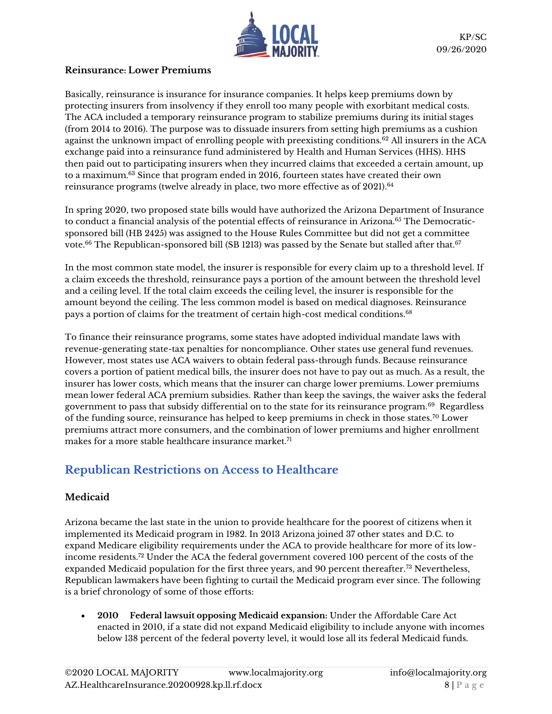

# **Reinsurance: Lower Premiums**

Basically, reinsurance is insurance for insurance companies. It helps keep premiums down by protecting insurers from insolvency if they enroll too many people with exorbitant medical costs. The ACA included a temporary reinsurance program to stabilize premiums during its initial stages (from 2014 to 2016). The purpose was to dissuade insurers from setting high premiums as a cushion against the unknown impact of enrolling people with preexisting conditions.<sup>62</sup> All insurers in the ACA exchange paid into a reinsurance fund administered by Health and Human Services (HHS). HHS then paid out to participating insurers when they incurred claims that exceeded a certain amount, up to a maximum.<sup>63</sup> Since that program ended in 2016, fourteen states have created their own reinsurance programs (twelve already in place, two more effective as of 2021). 64

In spring 2020, two proposed state bills would have authorized the Arizona Department of Insurance to conduct a financial analysis of the potential effects of reinsurance in Arizona.<sup>65</sup> The Democraticsponsored bill (HB 2425) was assigned to the House Rules Committee but did not get a committee vote.<sup>66</sup> The Republican-sponsored bill (SB 1213) was passed by the Senate but stalled after that.<sup>67</sup>

In the most common state model, the insurer is responsible for every claim up to a threshold level. If a claim exceeds the threshold, reinsurance pays a portion of the amount between the threshold level and a ceiling level. If the total claim exceeds the ceiling level, the insurer is responsible for the amount beyond the ceiling. The less common model is based on medical diagnoses. Reinsurance pays a portion of claims for the treatment of certain high-cost medical conditions.<sup>68</sup>

To finance their reinsurance programs, some states have adopted individual mandate laws with revenue-generating state-tax penalties for noncompliance. Other states use general fund revenues. However, most states use ACA waivers to obtain federal pass-through funds. Because reinsurance covers a portion of patient medical bills, the insurer does not have to pay out as much. As a result, the insurer has lower costs, which means that the insurer can charge lower premiums. Lower premiums mean lower federal ACA premium subsidies. Rather than keep the savings, the waiver asks the federal government to pass that subsidy differential on to the state for its reinsurance program. $^{69}$  Regardless of the funding source, reinsurance has helped to keep premiums in check in those states.<sup>70</sup> Lower premiums attract more consumers, and the combination of lower premiums and higher enrollment makes for a more stable healthcare insurance market.<sup>71</sup>

# **Republican Restrictions on Access to Healthcare**

# **Medicaid**

Arizona became the last state in the union to provide healthcare for the poorest of citizens when it implemented its Medicaid program in 1982. In 2013 Arizona joined 37 other states and D.C. to expand Medicare eligibility requirements under the ACA to provide healthcare for more of its lowincome residents.<sup>72</sup> Under the ACA the federal government covered 100 percent of the costs of the expanded Medicaid population for the first three years, and 90 percent thereafter.<sup>73</sup> Nevertheless, Republican lawmakers have been fighting to curtail the Medicaid program ever since. The following is a brief chronology of some of those efforts:

• **2010 Federal lawsuit opposing Medicaid expansion:** Under the Affordable Care Act enacted in 2010, if a state did not expand Medicaid eligibility to include anyone with incomes below 138 percent of the federal poverty level, it would lose all its federal Medicaid funds.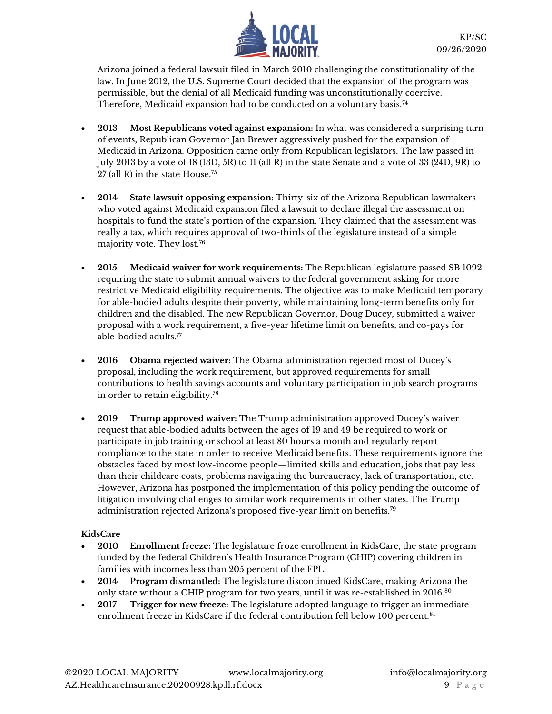

Arizona joined a federal lawsuit filed in March 2010 challenging the constitutionality of the law. In June 2012, the U.S. Supreme Court decided that the expansion of the program was permissible, but the denial of all Medicaid funding was unconstitutionally coercive. Therefore, Medicaid expansion had to be conducted on a voluntary basis.<sup>74</sup>

- **2013 Most Republicans voted against expansion:** In what was considered a surprising turn of events, Republican Governor Jan Brewer aggressively pushed for the expansion of Medicaid in Arizona. Opposition came only from Republican legislators. The law passed in July 2013 by a vote of 18 (13D, 5R) to 11 (all R) in the state Senate and a vote of 33 (24D, 9R) to 27 (all R) in the state House.<sup>75</sup>
- **2014 State lawsuit opposing expansion:** Thirty-six of the Arizona Republican lawmakers who voted against Medicaid expansion filed a lawsuit to declare illegal the assessment on hospitals to fund the state's portion of the expansion. They claimed that the assessment was really a tax, which requires approval of two-thirds of the legislature instead of a simple majority vote. They lost.<sup>76</sup>
- **2015 Medicaid waiver for work requirements:** The Republican legislature passed SB 1092 requiring the state to submit annual waivers to the federal government asking for more restrictive Medicaid eligibility requirements. The objective was to make Medicaid temporary for able-bodied adults despite their poverty, while maintaining long-term benefits only for children and the disabled. The new Republican Governor, Doug Ducey, submitted a waiver proposal with a work requirement, a five-year lifetime limit on benefits, and co-pays for able-bodied adults.<sup>77</sup>
- **2016 Obama rejected waiver:** The Obama administration rejected most of Ducey's proposal, including the work requirement, but approved requirements for small contributions to health savings accounts and voluntary participation in job search programs in order to retain eligibility. 78
- **2019 Trump approved waiver:** The Trump administration approved Ducey's waiver request that able-bodied adults between the ages of 19 and 49 be required to work or participate in job training or school at least 80 hours a month and regularly report compliance to the state in order to receive Medicaid benefits. These requirements ignore the obstacles faced by most low-income people—limited skills and education, jobs that pay less than their childcare costs, problems navigating the bureaucracy, lack of transportation, etc. However, Arizona has postponed the implementation of this policy pending the outcome of litigation involving challenges to similar work requirements in other states. The Trump administration rejected Arizona's proposed five-year limit on benefits.<sup>79</sup>

# **KidsCare**

- **2010 Enrollment freeze:** The legislature froze enrollment in KidsCare, the state program funded by the federal Children's Health Insurance Program (CHIP) covering children in families with incomes less than 205 percent of the FPL.
- **2014 Program dismantled:** The legislature discontinued KidsCare, making Arizona the only state without a CHIP program for two years, until it was re-established in 2016.80
- **2017 Trigger for new freeze:** The legislature adopted language to trigger an immediate enrollment freeze in KidsCare if the federal contribution fell below 100 percent.<sup>81</sup>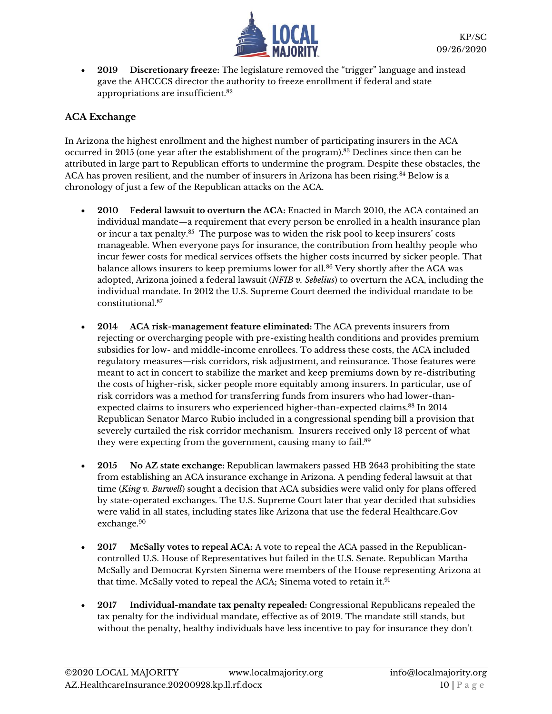

• **2019 Discretionary freeze:** The legislature removed the "trigger" language and instead gave the AHCCCS director the authority to freeze enrollment if federal and state appropriations are insufficient.<sup>82</sup>

# **ACA Exchange**

In Arizona the highest enrollment and the highest number of participating insurers in the ACA occurred in 2015 (one year after the establishment of the program).<sup>83</sup> Declines since then can be attributed in large part to Republican efforts to undermine the program. Despite these obstacles, the ACA has proven resilient, and the number of insurers in Arizona has been rising.<sup>84</sup> Below is a chronology of just a few of the Republican attacks on the ACA.

- **2010 Federal lawsuit to overturn the ACA:** Enacted in March 2010, the ACA contained an individual mandate—a requirement that every person be enrolled in a health insurance plan or incur a tax penalty.<sup>85</sup> The purpose was to widen the risk pool to keep insurers' costs manageable. When everyone pays for insurance, the contribution from healthy people who incur fewer costs for medical services offsets the higher costs incurred by sicker people. That balance allows insurers to keep premiums lower for all.<sup>86</sup> Very shortly after the ACA was adopted, Arizona joined a federal lawsuit (*NFIB v. Sebelius*) to overturn the ACA, including the individual mandate. In 2012 the U.S. Supreme Court deemed the individual mandate to be constitutional.<sup>87</sup>
- **2014 ACA risk-management feature eliminated:** The ACA prevents insurers from rejecting or overcharging people with pre-existing health conditions and provides premium subsidies for low- and middle-income enrollees. To address these costs, the ACA included regulatory measures—risk corridors, risk adjustment, and reinsurance. Those features were meant to act in concert to stabilize the market and keep premiums down by re-distributing the costs of higher-risk, sicker people more equitably among insurers. In particular, use of risk corridors was a method for transferring funds from insurers who had lower-thanexpected claims to insurers who experienced higher-than-expected claims.<sup>88</sup> In 2014 Republican Senator Marco Rubio included in a congressional spending bill a provision that severely curtailed the risk corridor mechanism. Insurers received only 13 percent of what they were expecting from the government, causing many to fail. 89
- **2015 No AZ state exchange:** Republican lawmakers passed HB 2643 prohibiting the state from establishing an ACA insurance exchange in Arizona. A pending federal lawsuit at that time (*King v. Burwell*) sought a decision that ACA subsidies were valid only for plans offered by state-operated exchanges. The U.S. Supreme Court later that year decided that subsidies were valid in all states, including states like Arizona that use the federal Healthcare.Gov exchange.<sup>90</sup>
- **2017 McSally votes to repeal ACA:** A vote to repeal the ACA passed in the Republicancontrolled U.S. House of Representatives but failed in the U.S. Senate. Republican Martha McSally and Democrat Kyrsten Sinema were members of the House representing Arizona at that time. McSally voted to repeal the ACA; Sinema voted to retain it.<sup>91</sup>
- **2017 Individual-mandate tax penalty repealed:** Congressional Republicans repealed the tax penalty for the individual mandate, effective as of 2019. The mandate still stands, but without the penalty, healthy individuals have less incentive to pay for insurance they don't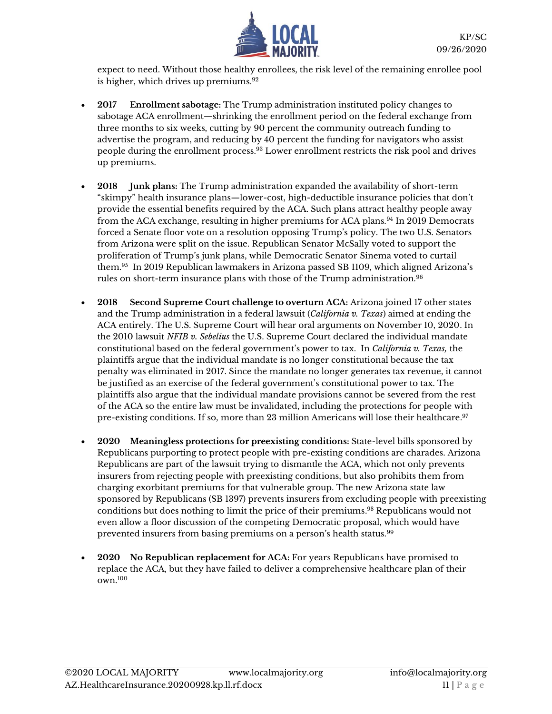

expect to need. Without those healthy enrollees, the risk level of the remaining enrollee pool is higher, which drives up premiums.<sup>92</sup>

- **2017 Enrollment sabotage:** The Trump administration instituted policy changes to sabotage ACA enrollment—shrinking the enrollment period on the federal exchange from three months to six weeks, cutting by 90 percent the community outreach funding to advertise the program, and reducing by 40 percent the funding for navigators who assist people during the enrollment process.<sup>93</sup> Lower enrollment restricts the risk pool and drives up premiums.
- **2018 Junk plans:** The Trump administration expanded the availability of short-term "skimpy" health insurance plans—lower-cost, high-deductible insurance policies that don't provide the essential benefits required by the ACA. Such plans attract healthy people away from the ACA exchange, resulting in higher premiums for ACA plans.<sup>94</sup> In 2019 Democrats forced a Senate floor vote on a resolution opposing Trump's policy. The two U.S. Senators from Arizona were split on the issue. Republican Senator McSally voted to support the proliferation of Trump's junk plans, while Democratic Senator Sinema voted to curtail them.<sup>95</sup> In 2019 Republican lawmakers in Arizona passed SB 1109, which aligned Arizona's rules on short-term insurance plans with those of the Trump administration.<sup>96</sup>
- **2018 Second Supreme Court challenge to overturn ACA:** Arizona joined 17 other states and the Trump administration in a federal lawsuit (*California v. Texas*) aimed at ending the ACA entirely. The U.S. Supreme Court will hear oral arguments on November 10, 2020. In the 2010 lawsuit *NFIB v. Sebelius* the U.S. Supreme Court declared the individual mandate constitutional based on the federal government's power to tax. In *California v. Texas,* the plaintiffs argue that the individual mandate is no longer constitutional because the tax penalty was eliminated in 2017. Since the mandate no longer generates tax revenue, it cannot be justified as an exercise of the federal government's constitutional power to tax. The plaintiffs also argue that the individual mandate provisions cannot be severed from the rest of the ACA so the entire law must be invalidated, including the protections for people with pre-existing conditions. If so, more than 23 million Americans will lose their healthcare. 97
- **2020 Meaningless protections for preexisting conditions:** State-level bills sponsored by Republicans purporting to protect people with pre-existing conditions are charades. Arizona Republicans are part of the lawsuit trying to dismantle the ACA, which not only prevents insurers from rejecting people with preexisting conditions, but also prohibits them from charging exorbitant premiums for that vulnerable group. The new Arizona state law sponsored by Republicans (SB 1397) prevents insurers from excluding people with preexisting conditions but does nothing to limit the price of their premiums. <sup>98</sup> Republicans would not even allow a floor discussion of the competing Democratic proposal, which would have prevented insurers from basing premiums on a person's health status.<sup>99</sup>
- **2020 No Republican replacement for ACA:** For years Republicans have promised to replace the ACA, but they have failed to deliver a comprehensive healthcare plan of their own.100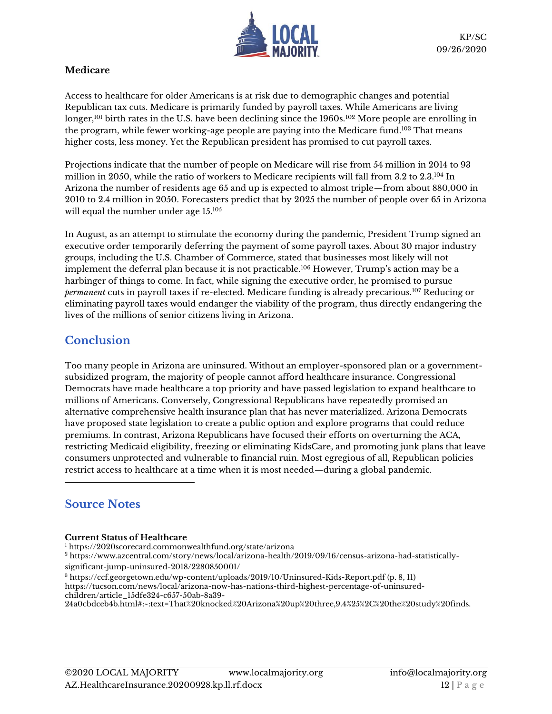

### **Medicare**

Access to healthcare for older Americans is at risk due to demographic changes and potential Republican tax cuts. Medicare is primarily funded by payroll taxes. While Americans are living longer,<sup>101</sup> birth rates in the U.S. have been declining since the 1960s.<sup>102</sup> More people are enrolling in the program, while fewer working-age people are paying into the Medicare fund.<sup>103</sup> That means higher costs, less money. Yet the Republican president has promised to cut payroll taxes.

Projections indicate that the number of people on Medicare will rise from 54 million in 2014 to 93 million in 2050, while the ratio of workers to Medicare recipients will fall from 3.2 to 2.3.<sup>104</sup> In Arizona the number of residents age 65 and up is expected to almost triple—from about 880,000 in 2010 to 2.4 million in 2050. Forecasters predict that by 2025 the number of people over 65 in Arizona will equal the number under age 15.<sup>105</sup>

In August, as an attempt to stimulate the economy during the pandemic, President Trump signed an executive order temporarily deferring the payment of some payroll taxes. About 30 major industry groups, including the U.S. Chamber of Commerce, stated that businesses most likely will not implement the deferral plan because it is not practicable.<sup>106</sup> However, Trump's action may be a harbinger of things to come. In fact, while signing the executive order, he promised to pursue *permanent* cuts in payroll taxes if re-elected. Medicare funding is already precarious.<sup>107</sup> Reducing or eliminating payroll taxes would endanger the viability of the program, thus directly endangering the lives of the millions of senior citizens living in Arizona.

# **Conclusion**

Too many people in Arizona are uninsured. Without an employer-sponsored plan or a governmentsubsidized program, the majority of people cannot afford healthcare insurance. Congressional Democrats have made healthcare a top priority and have passed legislation to expand healthcare to millions of Americans. Conversely, Congressional Republicans have repeatedly promised an alternative comprehensive health insurance plan that has never materialized. Arizona Democrats have proposed state legislation to create a public option and explore programs that could reduce premiums. In contrast, Arizona Republicans have focused their efforts on overturning the ACA, restricting Medicaid eligibility, freezing or eliminating KidsCare, and promoting junk plans that leave consumers unprotected and vulnerable to financial ruin. Most egregious of all, Republican policies restrict access to healthcare at a time when it is most needed—during a global pandemic.

# **Source Notes**

### **Current Status of Healthcare**

<sup>1</sup> <https://2020scorecard.commonwealthfund.org/state/arizona>

<sup>2</sup> [https://www.azcentral.com/story/news/local/arizona-health/2019/09/16/census-arizona-had-statistically](https://www.azcentral.com/story/news/local/arizona-health/2019/09/16/census-arizona-had-statistically-significant-jump-uninsured-2018/2280850001/)[significant-jump-uninsured-2018/2280850001/](https://www.azcentral.com/story/news/local/arizona-health/2019/09/16/census-arizona-had-statistically-significant-jump-uninsured-2018/2280850001/)

<sup>3</sup> <https://ccf.georgetown.edu/wp-content/uploads/2019/10/Uninsured-Kids-Report.pdf> (p. 8, 11)

[https://tucson.com/news/local/arizona-now-has-nations-third-highest-percentage-of-uninsured](https://tucson.com/news/local/arizona-now-has-nations-third-highest-percentage-of-uninsured-children/article_15dfe324-c657-50ab-8a39-24a0cbdceb4b.html#:~:text=That%20knocked%20Arizona%20up%20three,9.4%25%2C%20the%20study%20finds.)[children/article\\_15dfe324-c657-50ab-8a39-](https://tucson.com/news/local/arizona-now-has-nations-third-highest-percentage-of-uninsured-children/article_15dfe324-c657-50ab-8a39-24a0cbdceb4b.html#:~:text=That%20knocked%20Arizona%20up%20three,9.4%25%2C%20the%20study%20finds.)

[24a0cbdceb4b.html#:~:text=That%20knocked%20Arizona%20up%20three,9.4%25%2C%20the%20study%20finds.](https://tucson.com/news/local/arizona-now-has-nations-third-highest-percentage-of-uninsured-children/article_15dfe324-c657-50ab-8a39-24a0cbdceb4b.html#:~:text=That%20knocked%20Arizona%20up%20three,9.4%25%2C%20the%20study%20finds.)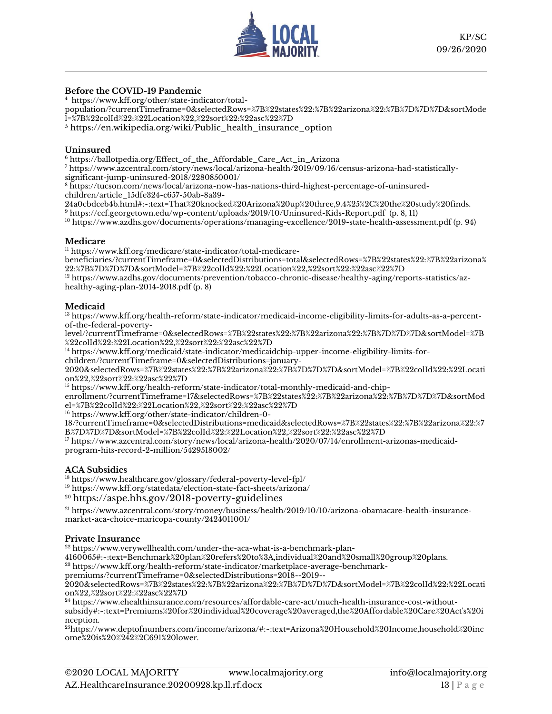

### **Before the COVID-19 Pandemic**

<sup>4</sup> [https://www.kff.org/other/state-indicator/total-](https://www.kff.org/other/state-indicator/total-population/?currentTimeframe=0&selectedRows=%7B%22states%22:%7B%22arizona%22:%7B%7D%7D%7D&sortModel=%7B%22colId%22:%22Location%22,%22sort%22:%22asc%22%7D)

[population/?currentTimeframe=0&selectedRows=%7B%22states%22:%7B%22arizona%22:%7B%7D%7D%7D&sortMode](https://www.kff.org/other/state-indicator/total-population/?currentTimeframe=0&selectedRows=%7B%22states%22:%7B%22arizona%22:%7B%7D%7D%7D&sortModel=%7B%22colId%22:%22Location%22,%22sort%22:%22asc%22%7D) [l=%7B%22colId%22:%22Location%22,%22sort%22:%22asc%22%7D](https://www.kff.org/other/state-indicator/total-population/?currentTimeframe=0&selectedRows=%7B%22states%22:%7B%22arizona%22:%7B%7D%7D%7D&sortModel=%7B%22colId%22:%22Location%22,%22sort%22:%22asc%22%7D)

<sup>5</sup> [https://en.wikipedia.org/wiki/Public\\_health\\_insurance\\_option](https://en.wikipedia.org/wiki/Public_health_insurance_option)

### **Uninsured**

<sup>6</sup> [https://ballotpedia.org/Effect\\_of\\_the\\_Affordable\\_Care\\_Act\\_in\\_Arizona](https://ballotpedia.org/Effect_of_the_Affordable_Care_Act_in_Arizona)

<sup>7</sup> [https://www.azcentral.com/story/news/local/arizona-health/2019/09/16/census-arizona-had-statistically](https://www.azcentral.com/story/news/local/arizona-health/2019/09/16/census-arizona-had-statistically-significant-jump-uninsured-2018/2280850001/)[significant-jump-uninsured-2018/2280850001/](https://www.azcentral.com/story/news/local/arizona-health/2019/09/16/census-arizona-had-statistically-significant-jump-uninsured-2018/2280850001/)

<sup>8</sup> [https://tucson.com/news/local/arizona-now-has-nations-third-highest-percentage-of-uninsured](https://tucson.com/news/local/arizona-now-has-nations-third-highest-percentage-of-uninsured-children/article_15dfe324-c657-50ab-8a39-24a0cbdceb4b.html#:~:text=That%20knocked%20Arizona%20up%20three,9.4%25%2C%20the%20study%20finds.)[children/article\\_15dfe324-c657-50ab-8a39-](https://tucson.com/news/local/arizona-now-has-nations-third-highest-percentage-of-uninsured-children/article_15dfe324-c657-50ab-8a39-24a0cbdceb4b.html#:~:text=That%20knocked%20Arizona%20up%20three,9.4%25%2C%20the%20study%20finds.)

[24a0cbdceb4b.html#:~:text=That%20knocked%20Arizona%20up%20three,9.4%25%2C%20the%20study%20finds.](https://tucson.com/news/local/arizona-now-has-nations-third-highest-percentage-of-uninsured-children/article_15dfe324-c657-50ab-8a39-24a0cbdceb4b.html#:~:text=That%20knocked%20Arizona%20up%20three,9.4%25%2C%20the%20study%20finds.)

<sup>9</sup> <https://ccf.georgetown.edu/wp-content/uploads/2019/10/Uninsured-Kids-Report.pdf>(p. 8, 11)

<sup>10</sup> <https://www.azdhs.gov/documents/operations/managing-excellence/2019-state-health-assessment.pdf> (p. 94)

#### **Medicare**

<sup>11</sup> [https://www.kff.org/medicare/state-indicator/total-medicare-](https://www.kff.org/medicare/state-indicator/total-medicare-beneficiaries/?currentTimeframe=0&selectedDistributions=total&selectedRows=%7B%22states%22:%7B%22arizona%22:%7B%7D%7D%7D&sortModel=%7B%22colId%22:%22Location%22,%22sort%22:%22asc%22%7D)

[beneficiaries/?currentTimeframe=0&selectedDistributions=total&selectedRows=%7B%22states%22:%7B%22arizona%](https://www.kff.org/medicare/state-indicator/total-medicare-beneficiaries/?currentTimeframe=0&selectedDistributions=total&selectedRows=%7B%22states%22:%7B%22arizona%22:%7B%7D%7D%7D&sortModel=%7B%22colId%22:%22Location%22,%22sort%22:%22asc%22%7D) [22:%7B%7D%7D%7D&sortModel=%7B%22colId%22:%22Location%22,%22sort%22:%22asc%22%7D](https://www.kff.org/medicare/state-indicator/total-medicare-beneficiaries/?currentTimeframe=0&selectedDistributions=total&selectedRows=%7B%22states%22:%7B%22arizona%22:%7B%7D%7D%7D&sortModel=%7B%22colId%22:%22Location%22,%22sort%22:%22asc%22%7D)

<sup>12</sup> [https://www.azdhs.gov/documents/prevention/tobacco-chronic-disease/healthy-aging/reports-statistics/az](https://www.azdhs.gov/documents/prevention/tobacco-chronic-disease/healthy-aging/reports-statistics/az-healthy-aging-plan-2014-2018.pdf)[healthy-aging-plan-2014-2018.pdf](https://www.azdhs.gov/documents/prevention/tobacco-chronic-disease/healthy-aging/reports-statistics/az-healthy-aging-plan-2014-2018.pdf) (p. 8)

#### **Medicaid**

<sup>13</sup> [https://www.kff.org/health-reform/state-indicator/medicaid-income-eligibility-limits-for-adults-as-a-percent](https://www.kff.org/health-reform/state-indicator/medicaid-income-eligibility-limits-for-adults-as-a-percent-of-the-federal-poverty-level/?currentTimeframe=0&selectedRows=%7B%22states%22:%7B%22arizona%22:%7B%7D%7D%7D&sortModel=%7B%22colId%22:%22Location%22,%22sort%22:%22asc%22%7D)[of-the-federal-poverty-](https://www.kff.org/health-reform/state-indicator/medicaid-income-eligibility-limits-for-adults-as-a-percent-of-the-federal-poverty-level/?currentTimeframe=0&selectedRows=%7B%22states%22:%7B%22arizona%22:%7B%7D%7D%7D&sortModel=%7B%22colId%22:%22Location%22,%22sort%22:%22asc%22%7D)

[level/?currentTimeframe=0&selectedRows=%7B%22states%22:%7B%22arizona%22:%7B%7D%7D%7D&sortModel=%7B](https://www.kff.org/health-reform/state-indicator/medicaid-income-eligibility-limits-for-adults-as-a-percent-of-the-federal-poverty-level/?currentTimeframe=0&selectedRows=%7B%22states%22:%7B%22arizona%22:%7B%7D%7D%7D&sortModel=%7B%22colId%22:%22Location%22,%22sort%22:%22asc%22%7D) [%22colId%22:%22Location%22,%22sort%22:%22asc%22%7D](https://www.kff.org/health-reform/state-indicator/medicaid-income-eligibility-limits-for-adults-as-a-percent-of-the-federal-poverty-level/?currentTimeframe=0&selectedRows=%7B%22states%22:%7B%22arizona%22:%7B%7D%7D%7D&sortModel=%7B%22colId%22:%22Location%22,%22sort%22:%22asc%22%7D)

<sup>14</sup> [https://www.kff.org/medicaid/state-indicator/medicaidchip-upper-income-eligibility-limits-for](https://www.kff.org/medicaid/state-indicator/medicaidchip-upper-income-eligibility-limits-for-children/?currentTimeframe=0&selectedDistributions=january-2020&selectedRows=%7B%22states%22:%7B%22arizona%22:%7B%7D%7D%7D&sortModel=%7B%22colId%22:%22Location%22,%22sort%22:%22asc%22%7D)[children/?currentTimeframe=0&selectedDistributions=january-](https://www.kff.org/medicaid/state-indicator/medicaidchip-upper-income-eligibility-limits-for-children/?currentTimeframe=0&selectedDistributions=january-2020&selectedRows=%7B%22states%22:%7B%22arizona%22:%7B%7D%7D%7D&sortModel=%7B%22colId%22:%22Location%22,%22sort%22:%22asc%22%7D)

[2020&selectedRows=%7B%22states%22:%7B%22arizona%22:%7B%7D%7D%7D&sortModel=%7B%22colId%22:%22Locati](https://www.kff.org/medicaid/state-indicator/medicaidchip-upper-income-eligibility-limits-for-children/?currentTimeframe=0&selectedDistributions=january-2020&selectedRows=%7B%22states%22:%7B%22arizona%22:%7B%7D%7D%7D&sortModel=%7B%22colId%22:%22Location%22,%22sort%22:%22asc%22%7D) [on%22,%22sort%22:%22asc%22%7D](https://www.kff.org/medicaid/state-indicator/medicaidchip-upper-income-eligibility-limits-for-children/?currentTimeframe=0&selectedDistributions=january-2020&selectedRows=%7B%22states%22:%7B%22arizona%22:%7B%7D%7D%7D&sortModel=%7B%22colId%22:%22Location%22,%22sort%22:%22asc%22%7D)

<sup>15</sup> [https://www.kff.org/health-reform/state-indicator/total-monthly-medicaid-and-chip-](https://www.kff.org/health-reform/state-indicator/total-monthly-medicaid-and-chip-enrollment/?currentTimeframe=17&selectedRows=%7B%22states%22:%7B%22arizona%22:%7B%7D%7D%7D&sortModel=%7B%22colId%22:%22Location%22,%22sort%22:%22asc%22%7D)

[enrollment/?currentTimeframe=17&selectedRows=%7B%22states%22:%7B%22arizona%22:%7B%7D%7D%7D&sortMod](https://www.kff.org/health-reform/state-indicator/total-monthly-medicaid-and-chip-enrollment/?currentTimeframe=17&selectedRows=%7B%22states%22:%7B%22arizona%22:%7B%7D%7D%7D&sortModel=%7B%22colId%22:%22Location%22,%22sort%22:%22asc%22%7D) [el=%7B%22colId%22:%22Location%22,%22sort%22:%22asc%22%7D](https://www.kff.org/health-reform/state-indicator/total-monthly-medicaid-and-chip-enrollment/?currentTimeframe=17&selectedRows=%7B%22states%22:%7B%22arizona%22:%7B%7D%7D%7D&sortModel=%7B%22colId%22:%22Location%22,%22sort%22:%22asc%22%7D)

<sup>16</sup> [https://www.kff.org/other/state-indicator/children-0-](https://www.kff.org/other/state-indicator/children-0-18/?currentTimeframe=0&selectedDistributions=medicaid&selectedRows=%7B%22states%22:%7B%22arizona%22:%7B%7D%7D%7D&sortModel=%7B%22colId%22:%22Location%22,%22sort%22:%22asc%22%7D)

[18/?currentTimeframe=0&selectedDistributions=medicaid&selectedRows=%7B%22states%22:%7B%22arizona%22:%7](https://www.kff.org/other/state-indicator/children-0-18/?currentTimeframe=0&selectedDistributions=medicaid&selectedRows=%7B%22states%22:%7B%22arizona%22:%7B%7D%7D%7D&sortModel=%7B%22colId%22:%22Location%22,%22sort%22:%22asc%22%7D) [B%7D%7D%7D&sortModel=%7B%22colId%22:%22Location%22,%22sort%22:%22asc%22%7D](https://www.kff.org/other/state-indicator/children-0-18/?currentTimeframe=0&selectedDistributions=medicaid&selectedRows=%7B%22states%22:%7B%22arizona%22:%7B%7D%7D%7D&sortModel=%7B%22colId%22:%22Location%22,%22sort%22:%22asc%22%7D)

<sup>17</sup> [https://www.azcentral.com/story/news/local/arizona-health/2020/07/14/enrollment-arizonas-medicaid](https://www.azcentral.com/story/news/local/arizona-health/2020/07/14/enrollment-arizonas-medicaid-program-hits-record-2-million/5429518002/)[program-hits-record-2-million/5429518002/](https://www.azcentral.com/story/news/local/arizona-health/2020/07/14/enrollment-arizonas-medicaid-program-hits-record-2-million/5429518002/)

### **ACA Subsidies**

<sup>18</sup> <https://www.healthcare.gov/glossary/federal-poverty-level-fpl/>

<sup>19</sup> <https://www.kff.org/statedata/election-state-fact-sheets/arizona/>

<sup>20</sup> <https://aspe.hhs.gov/2018-poverty-guidelines>

<sup>21</sup> [https://www.azcentral.com/story/money/business/health/2019/10/10/arizona-obamacare-health-insurance](https://www.azcentral.com/story/money/business/health/2019/10/10/arizona-obamacare-health-insurance-market-aca-choice-maricopa-county/2424011001/)[market-aca-choice-maricopa-county/2424011001/](https://www.azcentral.com/story/money/business/health/2019/10/10/arizona-obamacare-health-insurance-market-aca-choice-maricopa-county/2424011001/)

### **Private Insurance**

<sup>22</sup> [https://www.verywellhealth.com/under-the-aca-what-is-a-benchmark-plan-](https://www.verywellhealth.com/under-the-aca-what-is-a-benchmark-plan-4160065#:~:text=Benchmark%20plan%20refers%20to%3A,individual%20and%20small%20group%20plans.)

[4160065#:~:text=Benchmark%20plan%20refers%20to%3A,individual%20and%20small%20group%20plans.](https://www.verywellhealth.com/under-the-aca-what-is-a-benchmark-plan-4160065#:~:text=Benchmark%20plan%20refers%20to%3A,individual%20and%20small%20group%20plans.)

<sup>23</sup> [https://www.kff.org/health-reform/state-indicator/marketplace-average-benchmark-](https://www.kff.org/health-reform/state-indicator/marketplace-average-benchmark-premiums/?currentTimeframe=0&selectedDistributions=2018--2019--2020&selectedRows=%7B%22states%22:%7B%22arizona%22:%7B%7D%7D%7D&sortModel=%7B%22colId%22:%22Location%22,%22sort%22:%22asc%22%7D)

[premiums/?currentTimeframe=0&selectedDistributions=2018--2019--](https://www.kff.org/health-reform/state-indicator/marketplace-average-benchmark-premiums/?currentTimeframe=0&selectedDistributions=2018--2019--2020&selectedRows=%7B%22states%22:%7B%22arizona%22:%7B%7D%7D%7D&sortModel=%7B%22colId%22:%22Location%22,%22sort%22:%22asc%22%7D)

[2020&selectedRows=%7B%22states%22:%7B%22arizona%22:%7B%7D%7D%7D&sortModel=%7B%22colId%22:%22Locati](https://www.kff.org/health-reform/state-indicator/marketplace-average-benchmark-premiums/?currentTimeframe=0&selectedDistributions=2018--2019--2020&selectedRows=%7B%22states%22:%7B%22arizona%22:%7B%7D%7D%7D&sortModel=%7B%22colId%22:%22Location%22,%22sort%22:%22asc%22%7D) [on%22,%22sort%22:%22asc%22%7D](https://www.kff.org/health-reform/state-indicator/marketplace-average-benchmark-premiums/?currentTimeframe=0&selectedDistributions=2018--2019--2020&selectedRows=%7B%22states%22:%7B%22arizona%22:%7B%7D%7D%7D&sortModel=%7B%22colId%22:%22Location%22,%22sort%22:%22asc%22%7D)

<sup>24</sup> [https://www.ehealthinsurance.com/resources/affordable-care-act/much-health-insurance-cost-without](https://www.ehealthinsurance.com/resources/affordable-care-act/much-health-insurance-cost-without-subsidy#:~:text=Premiums%20for%20individual%20coverage%20averaged,the%20Affordable%20Care%20Act)[subsidy#:~:text=Premiums%20for%20individual%20coverage%20averaged,the%20Affordable%20Care%20Act's%20i](https://www.ehealthinsurance.com/resources/affordable-care-act/much-health-insurance-cost-without-subsidy#:~:text=Premiums%20for%20individual%20coverage%20averaged,the%20Affordable%20Care%20Act) [nception.](https://www.ehealthinsurance.com/resources/affordable-care-act/much-health-insurance-cost-without-subsidy#:~:text=Premiums%20for%20individual%20coverage%20averaged,the%20Affordable%20Care%20Act)

<sup>25</sup>[https://www.deptofnumbers.com/income/arizona/#:~:text=Arizona%20Household%20Income,household%20inc](https://www.deptofnumbers.com/income/arizona/#:~:text=Arizona%20Household%20Income,household%20income%20is%20%242%2C691%20lower.) [ome%20is%20%242%2C691%20lower.](https://www.deptofnumbers.com/income/arizona/#:~:text=Arizona%20Household%20Income,household%20income%20is%20%242%2C691%20lower.)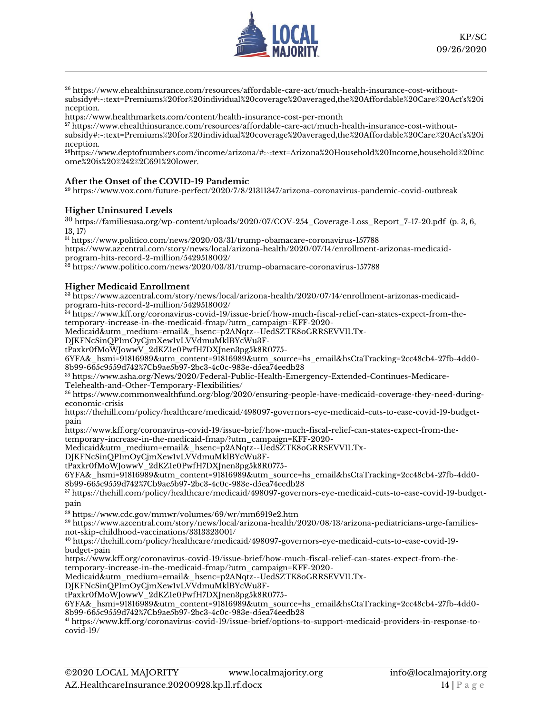

<sup>26</sup> [https://www.ehealthinsurance.com/resources/affordable-care-act/much-health-insurance-cost-without](https://www.ehealthinsurance.com/resources/affordable-care-act/much-health-insurance-cost-without-subsidy#:~:text=Premiums%20for%20individual%20coverage%20averaged,the%20Affordable%20Care%20Act)[subsidy#:~:text=Premiums%20for%20individual%20coverage%20averaged,the%20Affordable%20Care%20Act's%20i](https://www.ehealthinsurance.com/resources/affordable-care-act/much-health-insurance-cost-without-subsidy#:~:text=Premiums%20for%20individual%20coverage%20averaged,the%20Affordable%20Care%20Act) [nception.](https://www.ehealthinsurance.com/resources/affordable-care-act/much-health-insurance-cost-without-subsidy#:~:text=Premiums%20for%20individual%20coverage%20averaged,the%20Affordable%20Care%20Act)

<https://www.healthmarkets.com/content/health-insurance-cost-per-month>

<sup>27</sup> [https://www.ehealthinsurance.com/resources/affordable-care-act/much-health-insurance-cost-without](https://www.ehealthinsurance.com/resources/affordable-care-act/much-health-insurance-cost-without-subsidy#:~:text=Premiums%20for%20individual%20coverage%20averaged,the%20Affordable%20Care%20Act)[subsidy#:~:text=Premiums%20for%20individual%20coverage%20averaged,the%20Affordable%20Care%20Act's%20i](https://www.ehealthinsurance.com/resources/affordable-care-act/much-health-insurance-cost-without-subsidy#:~:text=Premiums%20for%20individual%20coverage%20averaged,the%20Affordable%20Care%20Act) [nception.](https://www.ehealthinsurance.com/resources/affordable-care-act/much-health-insurance-cost-without-subsidy#:~:text=Premiums%20for%20individual%20coverage%20averaged,the%20Affordable%20Care%20Act)

<sup>28</sup>[https://www.deptofnumbers.com/income/arizona/#:~:text=Arizona%20Household%20Income,household%20inc](https://www.deptofnumbers.com/income/arizona/#:~:text=Arizona%20Household%20Income,household%20income%20is%20%242%2C691%20lower.) [ome%20is%20%242%2C691%20lower.](https://www.deptofnumbers.com/income/arizona/#:~:text=Arizona%20Household%20Income,household%20income%20is%20%242%2C691%20lower.)

### **After the Onset of the COVID-19 Pandemic**

<sup>29</sup> <https://www.vox.com/future-perfect/2020/7/8/21311347/arizona-coronavirus-pandemic-covid-outbreak>

### **Higher Uninsured Levels**

<sup>30</sup> [https://familiesusa.org/wp-content/uploads/2020/07/COV-254\\_Coverage-Loss\\_Report\\_7-17-20.pdf](https://familiesusa.org/wp-content/uploads/2020/07/COV-254_Coverage-Loss_Report_7-17-20.pdf) (p. 3, 6, 13, 17)

<sup>31</sup> <https://www.politico.com/news/2020/03/31/trump-obamacare-coronavirus-157788>

[https://www.azcentral.com/story/news/local/arizona-health/2020/07/14/enrollment-arizonas-medicaid](https://www.azcentral.com/story/news/local/arizona-health/2020/07/14/enrollment-arizonas-medicaid-program-hits-record-2-million/5429518002/)[program-hits-record-2-million/5429518002/](https://www.azcentral.com/story/news/local/arizona-health/2020/07/14/enrollment-arizonas-medicaid-program-hits-record-2-million/5429518002/)

 $^\mathrm{32}\,$ <https://www.politico.com/news/2020/03/31/trump-obamacare-coronavirus-157788>

### **Higher Medicaid Enrollment**

<sup>33</sup> [https://www.azcentral.com/story/news/local/arizona-health/2020/07/14/enrollment-arizonas-medicaid](https://www.azcentral.com/story/news/local/arizona-health/2020/07/14/enrollment-arizonas-medicaid-program-hits-record-2-million/5429518002/)[program-hits-record-2-million/5429518002/](https://www.azcentral.com/story/news/local/arizona-health/2020/07/14/enrollment-arizonas-medicaid-program-hits-record-2-million/5429518002/)

<sup>34</sup> [https://www.kff.org/coronavirus-covid-19/issue-brief/how-much-fiscal-relief-can-states-expect-from-the](https://www.kff.org/coronavirus-covid-19/issue-brief/how-much-fiscal-relief-can-states-expect-from-the-temporary-increase-in-the-medicaid-fmap/?utm_campaign=KFF-2020-Medicaid&utm_medium=email&_hsenc=p2ANqtz--UedSZTK8oGRRSEVVILTx-DJKFNcSinQPImOyCjmXew1vLVVdmuMklBYcWu3F-tPaxkr0fMoWJowwV_2dKZ1e0PwfH7DXJnen3pg5k8R0775-6YFA&_hsmi=91816989&utm_content=91816989&utm_source=hs_email&hsCtaTracking=2cc48cb4-27fb-4dd0-8b99-665c9559d742%7Cb9ae5b97-2bc3-4c0c-983e-d5ea74eedb28)[temporary-increase-in-the-medicaid-fmap/?utm\\_campaign=KFF-2020-](https://www.kff.org/coronavirus-covid-19/issue-brief/how-much-fiscal-relief-can-states-expect-from-the-temporary-increase-in-the-medicaid-fmap/?utm_campaign=KFF-2020-Medicaid&utm_medium=email&_hsenc=p2ANqtz--UedSZTK8oGRRSEVVILTx-DJKFNcSinQPImOyCjmXew1vLVVdmuMklBYcWu3F-tPaxkr0fMoWJowwV_2dKZ1e0PwfH7DXJnen3pg5k8R0775-6YFA&_hsmi=91816989&utm_content=91816989&utm_source=hs_email&hsCtaTracking=2cc48cb4-27fb-4dd0-8b99-665c9559d742%7Cb9ae5b97-2bc3-4c0c-983e-d5ea74eedb28)

[Medicaid&utm\\_medium=email&\\_hsenc=p2ANqtz--UedSZTK8oGRRSEVVILTx-](https://www.kff.org/coronavirus-covid-19/issue-brief/how-much-fiscal-relief-can-states-expect-from-the-temporary-increase-in-the-medicaid-fmap/?utm_campaign=KFF-2020-Medicaid&utm_medium=email&_hsenc=p2ANqtz--UedSZTK8oGRRSEVVILTx-DJKFNcSinQPImOyCjmXew1vLVVdmuMklBYcWu3F-tPaxkr0fMoWJowwV_2dKZ1e0PwfH7DXJnen3pg5k8R0775-6YFA&_hsmi=91816989&utm_content=91816989&utm_source=hs_email&hsCtaTracking=2cc48cb4-27fb-4dd0-8b99-665c9559d742%7Cb9ae5b97-2bc3-4c0c-983e-d5ea74eedb28)

[DJKFNcSinQPImOyCjmXew1vLVVdmuMklBYcWu3F-](https://www.kff.org/coronavirus-covid-19/issue-brief/how-much-fiscal-relief-can-states-expect-from-the-temporary-increase-in-the-medicaid-fmap/?utm_campaign=KFF-2020-Medicaid&utm_medium=email&_hsenc=p2ANqtz--UedSZTK8oGRRSEVVILTx-DJKFNcSinQPImOyCjmXew1vLVVdmuMklBYcWu3F-tPaxkr0fMoWJowwV_2dKZ1e0PwfH7DXJnen3pg5k8R0775-6YFA&_hsmi=91816989&utm_content=91816989&utm_source=hs_email&hsCtaTracking=2cc48cb4-27fb-4dd0-8b99-665c9559d742%7Cb9ae5b97-2bc3-4c0c-983e-d5ea74eedb28)

[tPaxkr0fMoWJowwV\\_2dKZ1e0PwfH7DXJnen3pg5k8R0775-](https://www.kff.org/coronavirus-covid-19/issue-brief/how-much-fiscal-relief-can-states-expect-from-the-temporary-increase-in-the-medicaid-fmap/?utm_campaign=KFF-2020-Medicaid&utm_medium=email&_hsenc=p2ANqtz--UedSZTK8oGRRSEVVILTx-DJKFNcSinQPImOyCjmXew1vLVVdmuMklBYcWu3F-tPaxkr0fMoWJowwV_2dKZ1e0PwfH7DXJnen3pg5k8R0775-6YFA&_hsmi=91816989&utm_content=91816989&utm_source=hs_email&hsCtaTracking=2cc48cb4-27fb-4dd0-8b99-665c9559d742%7Cb9ae5b97-2bc3-4c0c-983e-d5ea74eedb28)

[6YFA&\\_hsmi=91816989&utm\\_content=91816989&utm\\_source=hs\\_email&hsCtaTracking=2cc48cb4-27fb-4dd0-](https://www.kff.org/coronavirus-covid-19/issue-brief/how-much-fiscal-relief-can-states-expect-from-the-temporary-increase-in-the-medicaid-fmap/?utm_campaign=KFF-2020-Medicaid&utm_medium=email&_hsenc=p2ANqtz--UedSZTK8oGRRSEVVILTx-DJKFNcSinQPImOyCjmXew1vLVVdmuMklBYcWu3F-tPaxkr0fMoWJowwV_2dKZ1e0PwfH7DXJnen3pg5k8R0775-6YFA&_hsmi=91816989&utm_content=91816989&utm_source=hs_email&hsCtaTracking=2cc48cb4-27fb-4dd0-8b99-665c9559d742%7Cb9ae5b97-2bc3-4c0c-983e-d5ea74eedb28) [8b99-665c9559d742%7Cb9ae5b97-2bc3-4c0c-983e-d5ea74eedb28](https://www.kff.org/coronavirus-covid-19/issue-brief/how-much-fiscal-relief-can-states-expect-from-the-temporary-increase-in-the-medicaid-fmap/?utm_campaign=KFF-2020-Medicaid&utm_medium=email&_hsenc=p2ANqtz--UedSZTK8oGRRSEVVILTx-DJKFNcSinQPImOyCjmXew1vLVVdmuMklBYcWu3F-tPaxkr0fMoWJowwV_2dKZ1e0PwfH7DXJnen3pg5k8R0775-6YFA&_hsmi=91816989&utm_content=91816989&utm_source=hs_email&hsCtaTracking=2cc48cb4-27fb-4dd0-8b99-665c9559d742%7Cb9ae5b97-2bc3-4c0c-983e-d5ea74eedb28)

<sup>35</sup> [https://www.asha.org/News/2020/Federal-Public-Health-Emergency-Extended-Continues-Medicare-](https://www.asha.org/News/2020/Federal-Public-Health-Emergency-Extended-Continues-Medicare-Telehealth-and-Other-Temporary-Flexibilities/)[Telehealth-and-Other-Temporary-Flexibilities/](https://www.asha.org/News/2020/Federal-Public-Health-Emergency-Extended-Continues-Medicare-Telehealth-and-Other-Temporary-Flexibilities/)

<sup>36</sup> [https://www.commonwealthfund.org/blog/2020/ensuring-people-have-medicaid-coverage-they-need-during](https://www.commonwealthfund.org/blog/2020/ensuring-people-have-medicaid-coverage-they-need-during-economic-crisis)[economic-crisis](https://www.commonwealthfund.org/blog/2020/ensuring-people-have-medicaid-coverage-they-need-during-economic-crisis)

[https://thehill.com/policy/healthcare/medicaid/498097-governors-eye-medicaid-cuts-to-ease-covid-19-budget](https://thehill.com/policy/healthcare/medicaid/498097-governors-eye-medicaid-cuts-to-ease-covid-19-budget-pain)[pain](https://thehill.com/policy/healthcare/medicaid/498097-governors-eye-medicaid-cuts-to-ease-covid-19-budget-pain)

[https://www.kff.org/coronavirus-covid-19/issue-brief/how-much-fiscal-relief-can-states-expect-from-the](https://www.kff.org/coronavirus-covid-19/issue-brief/how-much-fiscal-relief-can-states-expect-from-the-temporary-increase-in-the-medicaid-fmap/?utm_campaign=KFF-2020-Medicaid&utm_medium=email&_hsenc=p2ANqtz--UedSZTK8oGRRSEVVILTx-DJKFNcSinQPImOyCjmXew1vLVVdmuMklBYcWu3F-tPaxkr0fMoWJowwV_2dKZ1e0PwfH7DXJnen3pg5k8R0775-6YFA&_hsmi=91816989&utm_content=91816989&utm_source=hs_email&hsCtaTracking=2cc48cb4-27fb-4dd0-8b99-665c9559d742%7Cb9ae5b97-2bc3-4c0c-983e-d5ea74eedb28)[temporary-increase-in-the-medicaid-fmap/?utm\\_campaign=KFF-2020-](https://www.kff.org/coronavirus-covid-19/issue-brief/how-much-fiscal-relief-can-states-expect-from-the-temporary-increase-in-the-medicaid-fmap/?utm_campaign=KFF-2020-Medicaid&utm_medium=email&_hsenc=p2ANqtz--UedSZTK8oGRRSEVVILTx-DJKFNcSinQPImOyCjmXew1vLVVdmuMklBYcWu3F-tPaxkr0fMoWJowwV_2dKZ1e0PwfH7DXJnen3pg5k8R0775-6YFA&_hsmi=91816989&utm_content=91816989&utm_source=hs_email&hsCtaTracking=2cc48cb4-27fb-4dd0-8b99-665c9559d742%7Cb9ae5b97-2bc3-4c0c-983e-d5ea74eedb28)

[Medicaid&utm\\_medium=email&\\_hsenc=p2ANqtz--UedSZTK8oGRRSEVVILTx-](https://www.kff.org/coronavirus-covid-19/issue-brief/how-much-fiscal-relief-can-states-expect-from-the-temporary-increase-in-the-medicaid-fmap/?utm_campaign=KFF-2020-Medicaid&utm_medium=email&_hsenc=p2ANqtz--UedSZTK8oGRRSEVVILTx-DJKFNcSinQPImOyCjmXew1vLVVdmuMklBYcWu3F-tPaxkr0fMoWJowwV_2dKZ1e0PwfH7DXJnen3pg5k8R0775-6YFA&_hsmi=91816989&utm_content=91816989&utm_source=hs_email&hsCtaTracking=2cc48cb4-27fb-4dd0-8b99-665c9559d742%7Cb9ae5b97-2bc3-4c0c-983e-d5ea74eedb28)

[DJKFNcSinQPImOyCjmXew1vLVVdmuMklBYcWu3F-](https://www.kff.org/coronavirus-covid-19/issue-brief/how-much-fiscal-relief-can-states-expect-from-the-temporary-increase-in-the-medicaid-fmap/?utm_campaign=KFF-2020-Medicaid&utm_medium=email&_hsenc=p2ANqtz--UedSZTK8oGRRSEVVILTx-DJKFNcSinQPImOyCjmXew1vLVVdmuMklBYcWu3F-tPaxkr0fMoWJowwV_2dKZ1e0PwfH7DXJnen3pg5k8R0775-6YFA&_hsmi=91816989&utm_content=91816989&utm_source=hs_email&hsCtaTracking=2cc48cb4-27fb-4dd0-8b99-665c9559d742%7Cb9ae5b97-2bc3-4c0c-983e-d5ea74eedb28)

[tPaxkr0fMoWJowwV\\_2dKZ1e0PwfH7DXJnen3pg5k8R0775-](https://www.kff.org/coronavirus-covid-19/issue-brief/how-much-fiscal-relief-can-states-expect-from-the-temporary-increase-in-the-medicaid-fmap/?utm_campaign=KFF-2020-Medicaid&utm_medium=email&_hsenc=p2ANqtz--UedSZTK8oGRRSEVVILTx-DJKFNcSinQPImOyCjmXew1vLVVdmuMklBYcWu3F-tPaxkr0fMoWJowwV_2dKZ1e0PwfH7DXJnen3pg5k8R0775-6YFA&_hsmi=91816989&utm_content=91816989&utm_source=hs_email&hsCtaTracking=2cc48cb4-27fb-4dd0-8b99-665c9559d742%7Cb9ae5b97-2bc3-4c0c-983e-d5ea74eedb28)

[6YFA&\\_hsmi=91816989&utm\\_content=91816989&utm\\_source=hs\\_email&hsCtaTracking=2cc48cb4-27fb-4dd0-](https://www.kff.org/coronavirus-covid-19/issue-brief/how-much-fiscal-relief-can-states-expect-from-the-temporary-increase-in-the-medicaid-fmap/?utm_campaign=KFF-2020-Medicaid&utm_medium=email&_hsenc=p2ANqtz--UedSZTK8oGRRSEVVILTx-DJKFNcSinQPImOyCjmXew1vLVVdmuMklBYcWu3F-tPaxkr0fMoWJowwV_2dKZ1e0PwfH7DXJnen3pg5k8R0775-6YFA&_hsmi=91816989&utm_content=91816989&utm_source=hs_email&hsCtaTracking=2cc48cb4-27fb-4dd0-8b99-665c9559d742%7Cb9ae5b97-2bc3-4c0c-983e-d5ea74eedb28) [8b99-665c9559d742%7Cb9ae5b97-2bc3-4c0c-983e-d5ea74eedb28](https://www.kff.org/coronavirus-covid-19/issue-brief/how-much-fiscal-relief-can-states-expect-from-the-temporary-increase-in-the-medicaid-fmap/?utm_campaign=KFF-2020-Medicaid&utm_medium=email&_hsenc=p2ANqtz--UedSZTK8oGRRSEVVILTx-DJKFNcSinQPImOyCjmXew1vLVVdmuMklBYcWu3F-tPaxkr0fMoWJowwV_2dKZ1e0PwfH7DXJnen3pg5k8R0775-6YFA&_hsmi=91816989&utm_content=91816989&utm_source=hs_email&hsCtaTracking=2cc48cb4-27fb-4dd0-8b99-665c9559d742%7Cb9ae5b97-2bc3-4c0c-983e-d5ea74eedb28)

<sup>37</sup> [https://thehill.com/policy/healthcare/medicaid/498097-governors-eye-medicaid-cuts-to-ease-covid-19-budget](https://thehill.com/policy/healthcare/medicaid/498097-governors-eye-medicaid-cuts-to-ease-covid-19-budget-pain)[pain](https://thehill.com/policy/healthcare/medicaid/498097-governors-eye-medicaid-cuts-to-ease-covid-19-budget-pain)

<sup>38</sup> <https://www.cdc.gov/mmwr/volumes/69/wr/mm6919e2.htm>

<sup>39</sup> [https://www.azcentral.com/story/news/local/arizona-health/2020/08/13/arizona-pediatricians-urge-families](https://www.azcentral.com/story/news/local/arizona-health/2020/08/13/arizona-pediatricians-urge-families-not-skip-childhood-vaccinations/3313323001/)[not-skip-childhood-vaccinations/3313323001/](https://www.azcentral.com/story/news/local/arizona-health/2020/08/13/arizona-pediatricians-urge-families-not-skip-childhood-vaccinations/3313323001/)

<sup>40</sup> [https://thehill.com/policy/healthcare/medicaid/498097-governors-eye-medicaid-cuts-to-ease-covid-19](https://thehill.com/policy/healthcare/medicaid/498097-governors-eye-medicaid-cuts-to-ease-covid-19-budget-pain) [budget-pain](https://thehill.com/policy/healthcare/medicaid/498097-governors-eye-medicaid-cuts-to-ease-covid-19-budget-pain)

[https://www.kff.org/coronavirus-covid-19/issue-brief/how-much-fiscal-relief-can-states-expect-from-the](https://www.kff.org/coronavirus-covid-19/issue-brief/how-much-fiscal-relief-can-states-expect-from-the-temporary-increase-in-the-medicaid-fmap/?utm_campaign=KFF-2020-Medicaid&utm_medium=email&_hsenc=p2ANqtz--UedSZTK8oGRRSEVVILTx-DJKFNcSinQPImOyCjmXew1vLVVdmuMklBYcWu3F-tPaxkr0fMoWJowwV_2dKZ1e0PwfH7DXJnen3pg5k8R0775-6YFA&_hsmi=91816989&utm_content=91816989&utm_source=hs_email&hsCtaTracking=2cc48cb4-27fb-4dd0-8b99-665c9559d742%7Cb9ae5b97-2bc3-4c0c-983e-d5ea74eedb28)[temporary-increase-in-the-medicaid-fmap/?utm\\_campaign=KFF-2020-](https://www.kff.org/coronavirus-covid-19/issue-brief/how-much-fiscal-relief-can-states-expect-from-the-temporary-increase-in-the-medicaid-fmap/?utm_campaign=KFF-2020-Medicaid&utm_medium=email&_hsenc=p2ANqtz--UedSZTK8oGRRSEVVILTx-DJKFNcSinQPImOyCjmXew1vLVVdmuMklBYcWu3F-tPaxkr0fMoWJowwV_2dKZ1e0PwfH7DXJnen3pg5k8R0775-6YFA&_hsmi=91816989&utm_content=91816989&utm_source=hs_email&hsCtaTracking=2cc48cb4-27fb-4dd0-8b99-665c9559d742%7Cb9ae5b97-2bc3-4c0c-983e-d5ea74eedb28)

[Medicaid&utm\\_medium=email&\\_hsenc=p2ANqtz--UedSZTK8oGRRSEVVILTx-](https://www.kff.org/coronavirus-covid-19/issue-brief/how-much-fiscal-relief-can-states-expect-from-the-temporary-increase-in-the-medicaid-fmap/?utm_campaign=KFF-2020-Medicaid&utm_medium=email&_hsenc=p2ANqtz--UedSZTK8oGRRSEVVILTx-DJKFNcSinQPImOyCjmXew1vLVVdmuMklBYcWu3F-tPaxkr0fMoWJowwV_2dKZ1e0PwfH7DXJnen3pg5k8R0775-6YFA&_hsmi=91816989&utm_content=91816989&utm_source=hs_email&hsCtaTracking=2cc48cb4-27fb-4dd0-8b99-665c9559d742%7Cb9ae5b97-2bc3-4c0c-983e-d5ea74eedb28)

[DJKFNcSinQPImOyCjmXew1vLVVdmuMklBYcWu3F-](https://www.kff.org/coronavirus-covid-19/issue-brief/how-much-fiscal-relief-can-states-expect-from-the-temporary-increase-in-the-medicaid-fmap/?utm_campaign=KFF-2020-Medicaid&utm_medium=email&_hsenc=p2ANqtz--UedSZTK8oGRRSEVVILTx-DJKFNcSinQPImOyCjmXew1vLVVdmuMklBYcWu3F-tPaxkr0fMoWJowwV_2dKZ1e0PwfH7DXJnen3pg5k8R0775-6YFA&_hsmi=91816989&utm_content=91816989&utm_source=hs_email&hsCtaTracking=2cc48cb4-27fb-4dd0-8b99-665c9559d742%7Cb9ae5b97-2bc3-4c0c-983e-d5ea74eedb28)

[tPaxkr0fMoWJowwV\\_2dKZ1e0PwfH7DXJnen3pg5k8R0775-](https://www.kff.org/coronavirus-covid-19/issue-brief/how-much-fiscal-relief-can-states-expect-from-the-temporary-increase-in-the-medicaid-fmap/?utm_campaign=KFF-2020-Medicaid&utm_medium=email&_hsenc=p2ANqtz--UedSZTK8oGRRSEVVILTx-DJKFNcSinQPImOyCjmXew1vLVVdmuMklBYcWu3F-tPaxkr0fMoWJowwV_2dKZ1e0PwfH7DXJnen3pg5k8R0775-6YFA&_hsmi=91816989&utm_content=91816989&utm_source=hs_email&hsCtaTracking=2cc48cb4-27fb-4dd0-8b99-665c9559d742%7Cb9ae5b97-2bc3-4c0c-983e-d5ea74eedb28)

[6YFA&\\_hsmi=91816989&utm\\_content=91816989&utm\\_source=hs\\_email&hsCtaTracking=2cc48cb4-27fb-4dd0-](https://www.kff.org/coronavirus-covid-19/issue-brief/how-much-fiscal-relief-can-states-expect-from-the-temporary-increase-in-the-medicaid-fmap/?utm_campaign=KFF-2020-Medicaid&utm_medium=email&_hsenc=p2ANqtz--UedSZTK8oGRRSEVVILTx-DJKFNcSinQPImOyCjmXew1vLVVdmuMklBYcWu3F-tPaxkr0fMoWJowwV_2dKZ1e0PwfH7DXJnen3pg5k8R0775-6YFA&_hsmi=91816989&utm_content=91816989&utm_source=hs_email&hsCtaTracking=2cc48cb4-27fb-4dd0-8b99-665c9559d742%7Cb9ae5b97-2bc3-4c0c-983e-d5ea74eedb28) [8b99-665c9559d742%7Cb9ae5b97-2bc3-4c0c-983e-d5ea74eedb28](https://www.kff.org/coronavirus-covid-19/issue-brief/how-much-fiscal-relief-can-states-expect-from-the-temporary-increase-in-the-medicaid-fmap/?utm_campaign=KFF-2020-Medicaid&utm_medium=email&_hsenc=p2ANqtz--UedSZTK8oGRRSEVVILTx-DJKFNcSinQPImOyCjmXew1vLVVdmuMklBYcWu3F-tPaxkr0fMoWJowwV_2dKZ1e0PwfH7DXJnen3pg5k8R0775-6YFA&_hsmi=91816989&utm_content=91816989&utm_source=hs_email&hsCtaTracking=2cc48cb4-27fb-4dd0-8b99-665c9559d742%7Cb9ae5b97-2bc3-4c0c-983e-d5ea74eedb28)

<sup>41</sup> [https://www.kff.org/coronavirus-covid-19/issue-brief/options-to-support-medicaid-providers-in-response-to](https://www.kff.org/coronavirus-covid-19/issue-brief/options-to-support-medicaid-providers-in-response-to-covid-19/)[covid-19/](https://www.kff.org/coronavirus-covid-19/issue-brief/options-to-support-medicaid-providers-in-response-to-covid-19/)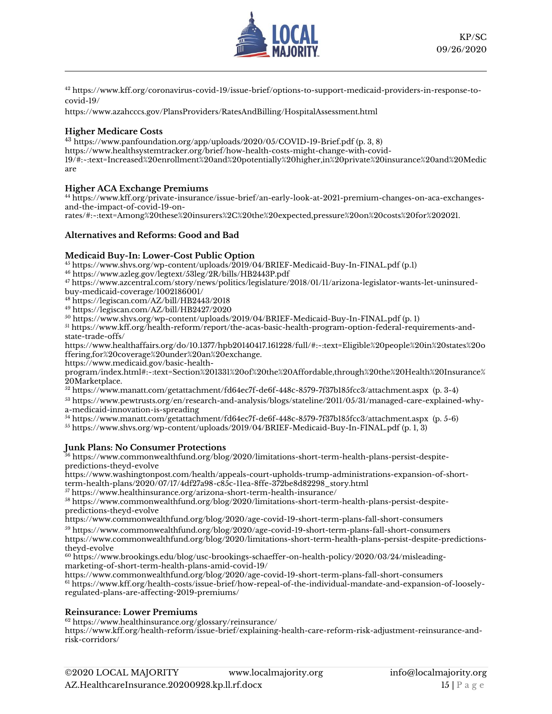

<sup>42</sup> [https://www.kff.org/coronavirus-covid-19/issue-brief/options-to-support-medicaid-providers-in-response-to](https://www.kff.org/coronavirus-covid-19/issue-brief/options-to-support-medicaid-providers-in-response-to-covid-19/)[covid-19/](https://www.kff.org/coronavirus-covid-19/issue-brief/options-to-support-medicaid-providers-in-response-to-covid-19/)

<https://www.azahcccs.gov/PlansProviders/RatesAndBilling/HospitalAssessment.html>

### **Higher Medicare Costs**

<sup>43</sup> <https://www.panfoundation.org/app/uploads/2020/05/COVID-19-Brief.pdf> (p. 3, 8) [https://www.healthsystemtracker.org/brief/how-health-costs-might-change-with-covid-](https://www.healthsystemtracker.org/brief/how-health-costs-might-change-with-covid-19/#:~:text=Increased%20enrollment%20and%20potentially%20higher,in%20private%20insurance%20and%20Medicare)[19/#:~:text=Increased%20enrollment%20and%20potentially%20higher,in%20private%20insurance%20and%20Medic](https://www.healthsystemtracker.org/brief/how-health-costs-might-change-with-covid-19/#:~:text=Increased%20enrollment%20and%20potentially%20higher,in%20private%20insurance%20and%20Medicare) [are](https://www.healthsystemtracker.org/brief/how-health-costs-might-change-with-covid-19/#:~:text=Increased%20enrollment%20and%20potentially%20higher,in%20private%20insurance%20and%20Medicare)

### **Higher ACA Exchange Premiums**

<sup>44</sup> [https://www.kff.org/private-insurance/issue-brief/an-early-look-at-2021-premium-changes-on-aca-exchanges](https://www.kff.org/private-insurance/issue-brief/an-early-look-at-2021-premium-changes-on-aca-exchanges-and-the-impact-of-covid-19-on-rates/#:~:text=Among%20these%20insurers%2C%20the%20expected,pressure%20on%20costs%20for%202021.)[and-the-impact-of-covid-19-on-](https://www.kff.org/private-insurance/issue-brief/an-early-look-at-2021-premium-changes-on-aca-exchanges-and-the-impact-of-covid-19-on-rates/#:~:text=Among%20these%20insurers%2C%20the%20expected,pressure%20on%20costs%20for%202021.)

[rates/#:~:text=Among%20these%20insurers%2C%20the%20expected,pressure%20on%20costs%20for%202021.](https://www.kff.org/private-insurance/issue-brief/an-early-look-at-2021-premium-changes-on-aca-exchanges-and-the-impact-of-covid-19-on-rates/#:~:text=Among%20these%20insurers%2C%20the%20expected,pressure%20on%20costs%20for%202021.)

### **Alternatives and Reforms: Good and Bad**

### **Medicaid Buy-In: Lower-Cost Public Option**

<sup>45</sup> <https://www.shvs.org/wp-content/uploads/2019/04/BRIEF-Medicaid-Buy-In-FINAL.pdf> (p.1)

<sup>46</sup> <https://www.azleg.gov/legtext/53leg/2R/bills/HB2443P.pdf>

<sup>47</sup> [https://www.azcentral.com/story/news/politics/legislature/2018/01/11/arizona-legislator-wants-let-uninsured-](https://www.azcentral.com/story/news/politics/legislature/2018/01/11/arizona-legislator-wants-let-uninsured-buy-medicaid-coverage/1002186001/)

[buy-medicaid-coverage/1002186001/](https://www.azcentral.com/story/news/politics/legislature/2018/01/11/arizona-legislator-wants-let-uninsured-buy-medicaid-coverage/1002186001/)

<sup>48</sup> <https://legiscan.com/AZ/bill/HB2443/2018> <sup>49</sup> <https://legiscan.com/AZ/bill/HB2427/2020>

<sup>50</sup> <https://www.shvs.org/wp-content/uploads/2019/04/BRIEF-Medicaid-Buy-In-FINAL.pdf> (p. 1)

<sup>51</sup> [https://www.kff.org/health-reform/report/the-acas-basic-health-program-option-federal-requirements-and](https://www.kff.org/health-reform/report/the-acas-basic-health-program-option-federal-requirements-and-state-trade-offs/)[state-trade-offs/](https://www.kff.org/health-reform/report/the-acas-basic-health-program-option-federal-requirements-and-state-trade-offs/)

[https://www.healthaffairs.org/do/10.1377/hpb20140417.161228/full/#:~:text=Eligible%20people%20in%20states%20o](https://www.healthaffairs.org/do/10.1377/hpb20140417.161228/full/#:~:text=Eligible%20people%20in%20states%20offering,for%20coverage%20under%20an%20exchange.) [ffering,for%20coverage%20under%20an%20exchange.](https://www.healthaffairs.org/do/10.1377/hpb20140417.161228/full/#:~:text=Eligible%20people%20in%20states%20offering,for%20coverage%20under%20an%20exchange.)

[https://www.medicaid.gov/basic-health-](https://www.medicaid.gov/basic-health-program/index.html#:~:text=Section%201331%20of%20the%20Affordable,through%20the%20Health%20Insurance%20Marketplace.)

[program/index.html#:~:text=Section%201331%20of%20the%20Affordable,through%20the%20Health%20Insurance%](https://www.medicaid.gov/basic-health-program/index.html#:~:text=Section%201331%20of%20the%20Affordable,through%20the%20Health%20Insurance%20Marketplace.) [20Marketplace.](https://www.medicaid.gov/basic-health-program/index.html#:~:text=Section%201331%20of%20the%20Affordable,through%20the%20Health%20Insurance%20Marketplace.)

<sup>52</sup> <https://www.manatt.com/getattachment/fd64ec7f-de6f-448c-8579-7f37b185fcc3/attachment.aspx>(p. 3-4)

<sup>53</sup> [https://www.pewtrusts.org/en/research-and-analysis/blogs/stateline/2011/05/31/managed-care-explained-why](https://www.pewtrusts.org/en/research-and-analysis/blogs/stateline/2011/05/31/managed-care-explained-why-a-medicaid-innovation-is-spreading)[a-medicaid-innovation-is-spreading](https://www.pewtrusts.org/en/research-and-analysis/blogs/stateline/2011/05/31/managed-care-explained-why-a-medicaid-innovation-is-spreading)

<sup>54</sup> <https://www.manatt.com/getattachment/fd64ec7f-de6f-448c-8579-7f37b185fcc3/attachment.aspx>(p. 5-6)

<sup>55</sup> <https://www.shvs.org/wp-content/uploads/2019/04/BRIEF-Medicaid-Buy-In-FINAL.pdf> (p. 1, 3)

### **Junk Plans: No Consumer Protections**

 $^{56}$  [https://www.commonwealthfund.org/blog/2020/limitations-short-term-health-plans-persist-despite](https://www.commonwealthfund.org/blog/2020/limitations-short-term-health-plans-persist-despite-predictions-theyd-evolve)[predictions-theyd-evolve](https://www.commonwealthfund.org/blog/2020/limitations-short-term-health-plans-persist-despite-predictions-theyd-evolve)

[https://www.washingtonpost.com/health/appeals-court-upholds-trump-administrations-expansion-of-short](https://www.washingtonpost.com/health/appeals-court-upholds-trump-administrations-expansion-of-short-term-health-plans/2020/07/17/4df27a98-c85c-11ea-8ffe-372be8d82298_story.html)[term-health-plans/2020/07/17/4df27a98-c85c-11ea-8ffe-372be8d82298\\_story.html](https://www.washingtonpost.com/health/appeals-court-upholds-trump-administrations-expansion-of-short-term-health-plans/2020/07/17/4df27a98-c85c-11ea-8ffe-372be8d82298_story.html)

<sup>57</sup> <https://www.healthinsurance.org/arizona-short-term-health-insurance/>

<sup>58</sup> [https://www.commonwealthfund.org/blog/2020/limitations-short-term-health-plans-persist-despite](https://www.commonwealthfund.org/blog/2020/limitations-short-term-health-plans-persist-despite-predictions-theyd-evolve)[predictions-theyd-evolve](https://www.commonwealthfund.org/blog/2020/limitations-short-term-health-plans-persist-despite-predictions-theyd-evolve)

<https://www.commonwealthfund.org/blog/2020/age-covid-19-short-term-plans-fall-short-consumers>

<sup>59</sup> <https://www.commonwealthfund.org/blog/2020/age-covid-19-short-term-plans-fall-short-consumers>

[https://www.commonwealthfund.org/blog/2020/limitations-short-term-health-plans-persist-despite-predictions](https://www.commonwealthfund.org/blog/2020/limitations-short-term-health-plans-persist-despite-predictions-theyd-evolve)[theyd-evolve](https://www.commonwealthfund.org/blog/2020/limitations-short-term-health-plans-persist-despite-predictions-theyd-evolve)

<sup>60</sup> [https://www.brookings.edu/blog/usc-brookings-schaeffer-on-health-policy/2020/03/24/misleading](https://www.brookings.edu/blog/usc-brookings-schaeffer-on-health-policy/2020/03/24/misleading-marketing-of-short-term-health-plans-amid-covid-19/)[marketing-of-short-term-health-plans-amid-covid-19/](https://www.brookings.edu/blog/usc-brookings-schaeffer-on-health-policy/2020/03/24/misleading-marketing-of-short-term-health-plans-amid-covid-19/)

<https://www.commonwealthfund.org/blog/2020/age-covid-19-short-term-plans-fall-short-consumers> <sup>61</sup> [https://www.kff.org/health-costs/issue-brief/how-repeal-of-the-individual-mandate-and-expansion-of-loosely](https://www.kff.org/health-costs/issue-brief/how-repeal-of-the-individual-mandate-and-expansion-of-loosely-regulated-plans-are-affecting-2019-premiums/)[regulated-plans-are-affecting-2019-premiums/](https://www.kff.org/health-costs/issue-brief/how-repeal-of-the-individual-mandate-and-expansion-of-loosely-regulated-plans-are-affecting-2019-premiums/)

### **Reinsurance: Lower Premiums**

<sup>62</sup> <https://www.healthinsurance.org/glossary/reinsurance/>

[https://www.kff.org/health-reform/issue-brief/explaining-health-care-reform-risk-adjustment-reinsurance-and](https://www.kff.org/health-reform/issue-brief/explaining-health-care-reform-risk-adjustment-reinsurance-and-risk-corridors/)[risk-corridors/](https://www.kff.org/health-reform/issue-brief/explaining-health-care-reform-risk-adjustment-reinsurance-and-risk-corridors/)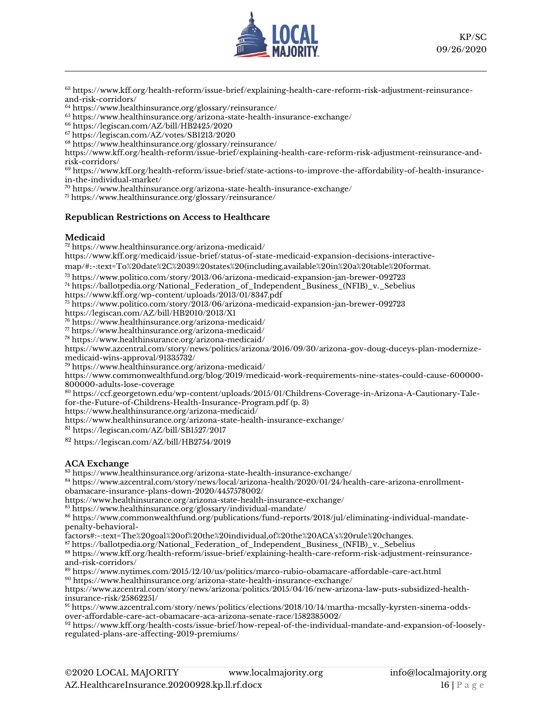

<sup>63</sup> [https://www.kff.org/health-reform/issue-brief/explaining-health-care-reform-risk-adjustment-reinsurance](https://www.kff.org/health-reform/issue-brief/explaining-health-care-reform-risk-adjustment-reinsurance-and-risk-corridors/)[and-risk-corridors/](https://www.kff.org/health-reform/issue-brief/explaining-health-care-reform-risk-adjustment-reinsurance-and-risk-corridors/)

<sup>64</sup> <https://www.healthinsurance.org/glossary/reinsurance/>

<sup>65</sup> <https://www.healthinsurance.org/arizona-state-health-insurance-exchange/>

<sup>66</sup> <https://legiscan.com/AZ/bill/HB2425/2020>

<sup>67</sup> <https://legiscan.com/AZ/votes/SB1213/2020>

<sup>68</sup> <https://www.healthinsurance.org/glossary/reinsurance/>

[https://www.kff.org/health-reform/issue-brief/explaining-health-care-reform-risk-adjustment-reinsurance-and](https://www.kff.org/health-reform/issue-brief/explaining-health-care-reform-risk-adjustment-reinsurance-and-risk-corridors/)[risk-corridors/](https://www.kff.org/health-reform/issue-brief/explaining-health-care-reform-risk-adjustment-reinsurance-and-risk-corridors/)

 $69$  [https://www.kff.org/health-reform/issue-brief/state-actions-to-improve-the-affordability-of-health-insurance](https://www.kff.org/health-reform/issue-brief/state-actions-to-improve-the-affordability-of-health-insurance-in-the-individual-market/)[in-the-individual-market/](https://www.kff.org/health-reform/issue-brief/state-actions-to-improve-the-affordability-of-health-insurance-in-the-individual-market/)

<sup>70</sup> <https://www.healthinsurance.org/arizona-state-health-insurance-exchange/>

<sup>71</sup> <https://www.healthinsurance.org/glossary/reinsurance/>

### **Republican Restrictions on Access to Healthcare**

#### **Medicaid**

<sup>72</sup> <https://www.healthinsurance.org/arizona-medicaid/>

[https://www.kff.org/medicaid/issue-brief/status-of-state-medicaid-expansion-decisions-interactive-](https://www.kff.org/medicaid/issue-brief/status-of-state-medicaid-expansion-decisions-interactive-map/#:~:text=To%20date%2C%2039%20states%20(including,available%20in%20a%20table%20format.)

[map/#:~:text=To%20date%2C%2039%20states%20\(including,available%20in%20a%20table%20format.](https://www.kff.org/medicaid/issue-brief/status-of-state-medicaid-expansion-decisions-interactive-map/#:~:text=To%20date%2C%2039%20states%20(including,available%20in%20a%20table%20format.)

<sup>73</sup> <https://www.politico.com/story/2013/06/arizona-medicaid-expansion-jan-brewer-092723>

<sup>74</sup> [https://ballotpedia.org/National\\_Federation\\_of\\_Independent\\_Business\\_\(NFIB\)\\_v.\\_Sebelius](https://ballotpedia.org/National_Federation_of_Independent_Business_(NFIB)_v._Sebelius)

<https://www.kff.org/wp-content/uploads/2013/01/8347.pdf>

<sup>75</sup> <https://www.politico.com/story/2013/06/arizona-medicaid-expansion-jan-brewer-092723>

<https://legiscan.com/AZ/bill/HB2010/2013/X1>

<sup>76</sup> <https://www.healthinsurance.org/arizona-medicaid/>

<sup>77</sup> <https://www.healthinsurance.org/arizona-medicaid/>

<sup>78</sup> <https://www.healthinsurance.org/arizona-medicaid/>

[https://www.azcentral.com/story/news/politics/arizona/2016/09/30/arizona-gov-doug-duceys-plan-modernize](https://www.azcentral.com/story/news/politics/arizona/2016/09/30/arizona-gov-doug-duceys-plan-modernize-medicaid-wins-approval/91335732/)[medicaid-wins-approval/91335732/](https://www.azcentral.com/story/news/politics/arizona/2016/09/30/arizona-gov-doug-duceys-plan-modernize-medicaid-wins-approval/91335732/)

<sup>79</sup> <https://www.healthinsurance.org/arizona-medicaid/>

[https://www.commonwealthfund.org/blog/2019/medicaid-work-requirements-nine-states-could-cause-600000-](https://www.commonwealthfund.org/blog/2019/medicaid-work-requirements-nine-states-could-cause-600000-800000-adults-lose-coverage) [800000-adults-lose-coverage](https://www.commonwealthfund.org/blog/2019/medicaid-work-requirements-nine-states-could-cause-600000-800000-adults-lose-coverage)

<sup>80</sup> [https://ccf.georgetown.edu/wp-content/uploads/2015/01/Childrens-Coverage-in-Arizona-A-Cautionary-Tale](https://ccf.georgetown.edu/wp-content/uploads/2015/01/Childrens-Coverage-in-Arizona-A-Cautionary-Tale-for-the-Future-of-Childrens-Health-Insurance-Program.pdf)[for-the-Future-of-Childrens-Health-Insurance-Program.pdf](https://ccf.georgetown.edu/wp-content/uploads/2015/01/Childrens-Coverage-in-Arizona-A-Cautionary-Tale-for-the-Future-of-Childrens-Health-Insurance-Program.pdf) (p. 3)

<https://www.healthinsurance.org/arizona-medicaid/>

<https://www.healthinsurance.org/arizona-state-health-insurance-exchange/>

<sup>81</sup> <https://legiscan.com/AZ/bill/SB1527/2017>

<sup>82</sup> <https://legiscan.com/AZ/bill/HB2754/2019>

### **ACA Exchange**

<sup>83</sup> <https://www.healthinsurance.org/arizona-state-health-insurance-exchange/>

<sup>84</sup> [https://www.azcentral.com/story/news/local/arizona-health/2020/01/24/health-care-arizona-enrollment](https://www.azcentral.com/story/news/local/arizona-health/2020/01/24/health-care-arizona-enrollment-obamacare-insurance-plans-down-2020/4457578002/)[obamacare-insurance-plans-down-2020/4457578002/](https://www.azcentral.com/story/news/local/arizona-health/2020/01/24/health-care-arizona-enrollment-obamacare-insurance-plans-down-2020/4457578002/)

<https://www.healthinsurance.org/arizona-state-health-insurance-exchange/>

<sup>85</sup> <https://www.healthinsurance.org/glossary/individual-mandate/>

<sup>86</sup> [https://www.commonwealthfund.org/publications/fund-reports/2018/jul/eliminating-individual-mandate](https://www.commonwealthfund.org/publications/fund-reports/2018/jul/eliminating-individual-mandate-penalty-behavioral-factors#:~:text=The%20goal%20of%20the%20individual,of%20the%20ACA)[penalty-behavioral-](https://www.commonwealthfund.org/publications/fund-reports/2018/jul/eliminating-individual-mandate-penalty-behavioral-factors#:~:text=The%20goal%20of%20the%20individual,of%20the%20ACA)

[factors#:~:text=The%20goal%20of%20the%20individual,of%20the%20ACA's%20rule%20changes.](https://www.commonwealthfund.org/publications/fund-reports/2018/jul/eliminating-individual-mandate-penalty-behavioral-factors#:~:text=The%20goal%20of%20the%20individual,of%20the%20ACA)

<sup>87</sup> [https://ballotpedia.org/National\\_Federation\\_of\\_Independent\\_Business\\_\(NFIB\)\\_v.\\_Sebelius](https://ballotpedia.org/National_Federation_of_Independent_Business_(NFIB)_v._Sebelius)

<sup>88</sup> [https://www.kff.org/health-reform/issue-brief/explaining-health-care-reform-risk-adjustment-reinsurance](https://www.kff.org/health-reform/issue-brief/explaining-health-care-reform-risk-adjustment-reinsurance-and-risk-corridors/)[and-risk-corridors/](https://www.kff.org/health-reform/issue-brief/explaining-health-care-reform-risk-adjustment-reinsurance-and-risk-corridors/)

<sup>89</sup> <https://www.nytimes.com/2015/12/10/us/politics/marco-rubio-obamacare-affordable-care-act.html> <sup>90</sup> <https://www.healthinsurance.org/arizona-state-health-insurance-exchange/>

[https://www.azcentral.com/story/news/arizona/politics/2015/04/16/new-arizona-law-puts-subsidized-health](https://www.azcentral.com/story/news/arizona/politics/2015/04/16/new-arizona-law-puts-subsidized-health-insurance-risk/25862251/)[insurance-risk/25862251/](https://www.azcentral.com/story/news/arizona/politics/2015/04/16/new-arizona-law-puts-subsidized-health-insurance-risk/25862251/)

<sup>91</sup> [https://www.azcentral.com/story/news/politics/elections/2018/10/14/martha-mcsally-kyrsten-sinema-odds](https://www.azcentral.com/story/news/politics/elections/2018/10/14/martha-mcsally-kyrsten-sinema-odds-over-affordable-care-act-obamacare-aca-arizona-senate-race/1582385002/)[over-affordable-care-act-obamacare-aca-arizona-senate-race/1582385002/](https://www.azcentral.com/story/news/politics/elections/2018/10/14/martha-mcsally-kyrsten-sinema-odds-over-affordable-care-act-obamacare-aca-arizona-senate-race/1582385002/)

<sup>92</sup> [https://www.kff.org/health-costs/issue-brief/how-repeal-of-the-individual-mandate-and-expansion-of-loosely](https://www.kff.org/health-costs/issue-brief/how-repeal-of-the-individual-mandate-and-expansion-of-loosely-regulated-plans-are-affecting-2019-premiums/)[regulated-plans-are-affecting-2019-premiums/](https://www.kff.org/health-costs/issue-brief/how-repeal-of-the-individual-mandate-and-expansion-of-loosely-regulated-plans-are-affecting-2019-premiums/)